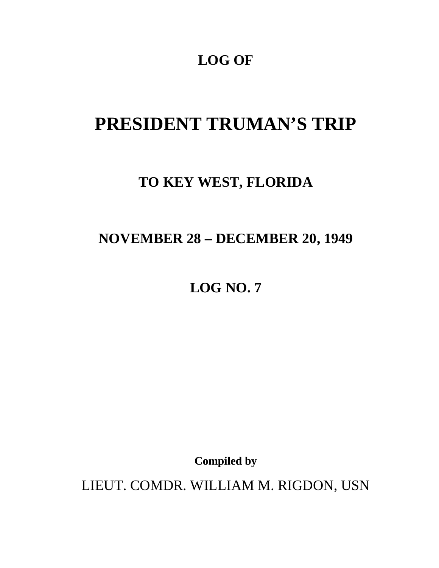## **LOG OF**

# **PRESIDENT TRUMAN'S TRIP**

### **TO KEY WEST, FLORIDA**

## **NOVEMBER 28 – DECEMBER 20, 1949**

**LOG NO. 7** 

**Compiled by** 

LIEUT. COMDR. WILLIAM M. RIGDON, USN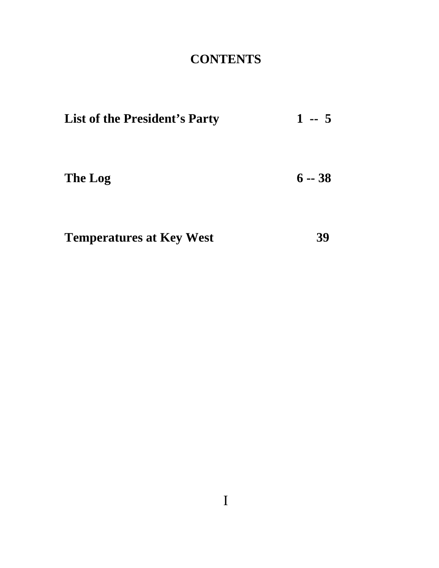# **CONTENTS**

| <b>List of the President's Party</b> | $1 - 5$  |
|--------------------------------------|----------|
| The Log                              | $6 - 38$ |
| <b>Temperatures at Key West</b>      |          |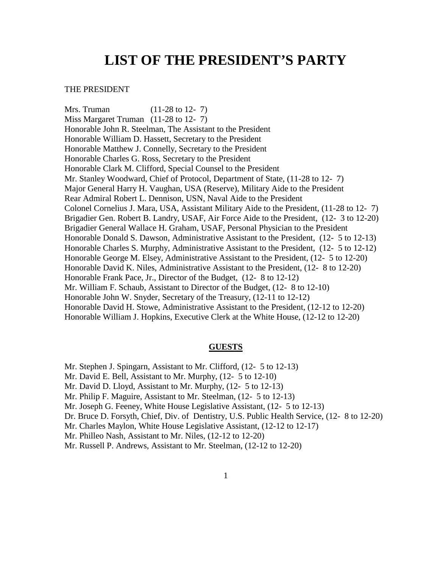### **LIST OF THE PRESIDENT'S PARTY**

#### THE PRESIDENT

Mrs. Truman (11-28 to 12- 7) Miss Margaret Truman (11-28 to 12-7) Honorable John R. Steelman, The Assistant to the President Honorable William D. Hassett, Secretary to the President Honorable Matthew J. Connelly, Secretary to the President Honorable Charles G. Ross, Secretary to the President Honorable Clark M. Clifford, Special Counsel to the President Mr. Stanley Woodward, Chief of Protocol, Department of State, (11-28 to 12- 7) Major General Harry H. Vaughan, USA (Reserve), Military Aide to the President Rear Admiral Robert L. Dennison, USN, Naval Aide to the President Colonel Cornelius J. Mara, USA, Assistant Military Aide to the President, (11-28 to 12- 7) Brigadier Gen. Robert B. Landry, USAF, Air Force Aide to the President, (12- 3 to 12-20) Brigadier General Wallace H. Graham, USAF, Personal Physician to the President Honorable Donald S. Dawson , Administrative Assistant to the President, (12- 5 to 12-13) Honorable Charles S. Murphy, Administrative Assistant to the President, (12- 5 to 12-12) Honorable George M. Elsey, Administrative Assistant to the President, (12- 5 to 12-20) Honorable David K. Niles, Administrative Assistant to the President, (12- 8 to 12-20) Honorable Frank Pace, Jr., Director of the Budget, (12- 8 to 12-12) Mr. William F. Schaub, Assistant to Director of the Budget, (12- 8 to 12-10) Honorable John W. Snyder, Secretary of the Treasury, (12-11 to 12-12) Honorable David H. Stowe, Administrative Assistant to the President, (12-12 to 12-20) Honorable William J. Hopkins, Executive Clerk at the White House, (12-12 to 12-20)

#### **GUESTS**

- Mr. Stephen J. Spingarn, Assistant to Mr. Clifford, (12- 5 to 12-13)
- Mr. David E. Bell, Assistant to Mr. Murphy,  $(12 5)$  to  $12-10$ )
- Mr. David D. Lloyd, Assistant to Mr. Murphy, (12- 5 to 12-13)
- Mr. Philip F. Maguire, Assistant to Mr. Steelman, (12- 5 to 12-13)
- Mr. Joseph G. Feeney, White House Legislative Assistant, (12- 5 to 12-13)
- Dr. Bruce D. Forsyth, Chief, Div. of Dentistry, U.S. Public Health Service, (12- 8 to 12-20)
- Mr. Charles Maylon, White House Legislative Assistant, (12-12 to 12-17)
- Mr. Philleo Nash, Assistant to Mr. Niles, (12-12 to 12-20)
- Mr. Russell P. Andrews, Assistant to Mr. Steelman, (12-12 to 12-20)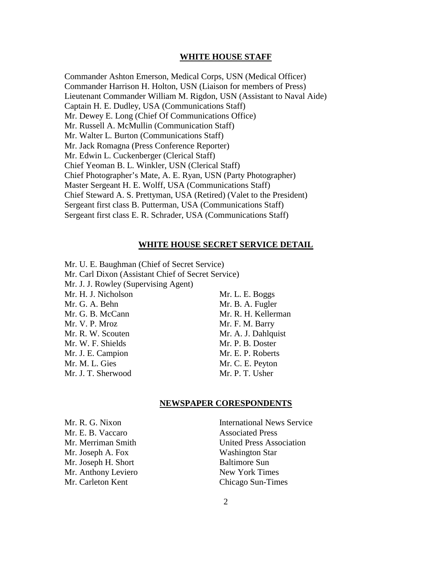#### **WHITE HOUSE STAFF**

Commander Ashton Emerson, Medical Corps, USN (Medical Officer) Commander Harrison H. Holton, USN (Liaison for members of Press) Lieutenant Commander William M. Rigdon, USN (Assistant to Naval Aide) Captain H. E. Dudley, USA (Communications Staff) Mr. Dewey E. Long (Chief Of Communications Office) Mr. Russell A. McMullin (Communication Staff) Mr. Walter L. Burton (Communications Staff) Mr. Jack Romagna (Press Conference Reporter) Mr. Edwin L. Cuckenberger (Clerical Staff) Chief Yeoman B. L. Winkler, USN (Clerical Staff) Chief Photographer's Mate, A. E. Ryan, USN (Party Photographer) Master Sergeant H. E. Wolff, USA (Communications Staff) Chief Steward A. S. Prettyman, USA (Retired) (Valet to the President) Sergeant first class B. Putterman, USA (Communications Staff) Sergeant first class E. R. Schrader, USA (Communications Staff)

#### **WHITE HOUSE SECRET SERVICE DETAIL**

Mr. U. E. Baughman (Chief of Secret Service) Mr. Carl Dixon (Assistant Chief of Secret Service) Mr. J. J. Rowley (Supervising Agent) Mr. H. J. Nicholson Mr. L. E. Boggs Mr. G. A. Behn Mr. B. A. Fugler Mr. G. B. McCann Mr. R. H. Kellerman Mr. V. P. Mroz Mr. F. M. Barry Mr. R. W. Scouten Mr. A. J. Dahlquist Mr. W. F. Shields Mr. P. B. Doster Mr. J. E. Campion Mr. E. P. Roberts Mr. M. L. Gies Mr. C. E. Peyton Mr. J. T. Sherwood Mr. P. T. Usher

#### **NEWSPAPER CORESPONDENTS**

Mr. E. B. Vaccaro Associated Press Mr. Joseph A. Fox Washington Star Mr. Joseph H. Short Baltimore Sun Mr. Anthony Leviero New York Times

Mr. R. G. Nixon International News Service Mr. Merriman Smith United Press Association Mr. Carleton Kent Chicago Sun-Times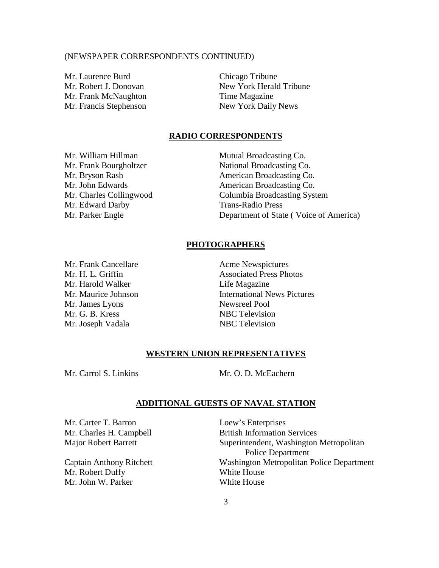#### (NEWSPAPER CORRESPONDENTS CONTINUED)

Mr. Laurence Burd Chicago Tribune Mr. Frank McNaughton Time Magazine Mr. Francis Stephenson New York Daily News

Mr. Robert J. Donovan New York Herald Tribune

#### **RADIO CORRESPONDENTS**

Mr. Edward Darby Trans-Radio Press

Mr. William Hillman Mutual Broadcasting Co. Mr. Frank Bourgholtzer National Broadcasting Co. Mr. Bryson Rash American Broadcasting Co. Mr. John Edwards **American Broadcasting Co.** Mr. Charles Collingwood Columbia Broadcasting System Mr. Parker Engle **Department of State (Voice of America)** 

#### **PHOTOGRAPHERS**

Mr. Harold Walker Life Magazine Mr. James Lyons Newsreel Pool Mr. G. B. Kress NBC Television Mr. Joseph Vadala NBC Television

Mr. Frank Cancellare **Acme Newspictures** Mr. H. L. Griffin Associated Press Photos Mr. Maurice Johnson **International News Pictures** 

#### **WESTERN UNION REPRESENTATIVES**

Mr. Carrol S. Linkins Mr. O. D. McEachern

#### **ADDITIONAL GUESTS OF NAVAL STATION**

Mr. Carter T. Barron Loew's Enterprises

Mr. Robert Duffy White House Mr. John W. Parker White House

Mr. Charles H. Campbell British Information Services Major Robert Barrett Superintendent, Washington Metropolitan Police Department Captain Anthony Ritchett Washington Metropolitan Police Department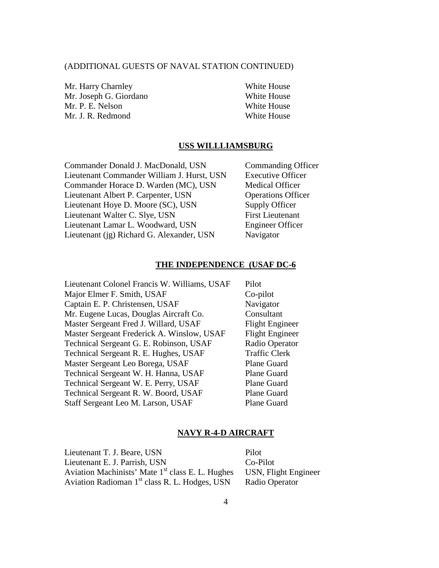#### (ADDITIONAL GUESTS OF NAVAL STATION CONTINUED)

Mr. Harry Charnley White House Mr. Joseph G. Giordano White House Mr. P. E. Nelson White House Mr. J. R. Redmond White House

#### **USS WILLLIAMSBURG**

Commander Donald J. MacDonald, USN Commanding Officer Lieutenant Commander William J. Hurst, USN Executive Officer Commander Horace D. Warden (MC), USN Medical Officer Lieutenant Albert P. Carpenter, USN Operations Officer Lieutenant Hoye D. Moore (SC), USN Supply Officer Lieutenant Walter C. Slye, USN First Lieutenant Lieutenant Lamar L. Woodward, USN Engineer Officer Lieutenant (ig) Richard G. Alexander, USN Navigator

#### **THE INDEPENDENCE (USAF DC-6**

Lieutenant Colonel Francis W. Williams, USAF Pilot Major Elmer F. Smith, USAF Co-pilot Captain E. P. Christensen, USAF Navigator Mr. Eugene Lucas, Douglas Aircraft Co. Consultant Master Sergeant Fred J. Willard, USAF Flight Engineer Master Sergeant Frederick A. Winslow, USAF Flight Engineer Technical Sergeant G. E. Robinson, USAF Radio Operator Technical Sergeant R. E. Hughes, USAF Traffic Clerk Master Sergeant Leo Borega, USAF Plane Guard Technical Sergeant W. H. Hanna, USAF Plane Guard Technical Sergeant W. E. Perry, USAF Plane Guard Technical Sergeant R. W. Boord, USAF Plane Guard Staff Sergeant Leo M. Larson, USAF Plane Guard

#### **NAVY R-4-D AIRCRAFT**

Lieutenant T. J. Beare, USN Pilot Lieutenant E. J. Parrish, USN Co-Pilot Aviation Machinists' Mate 1<sup>st</sup> class E. L. Hughes USN, Flight Engineer Aviation Radioman 1<sup>st</sup> class R. L. Hodges, USN Radio Operator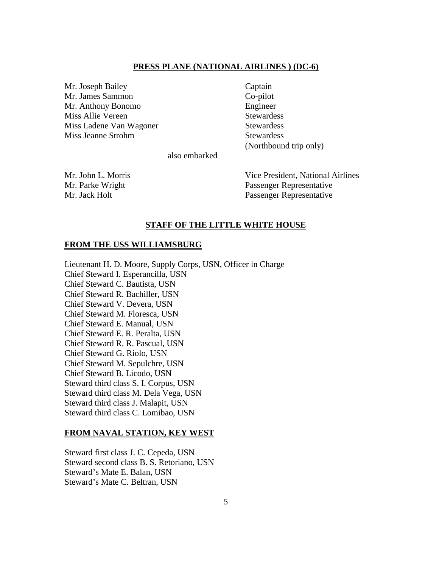#### **PRESS PLANE (NATIONAL AIRLINES ) (DC-6)**

Mr. Joseph Bailey Captain Mr. James Sammon Co-pilot Mr. Anthony Bonomo Engineer Miss Allie Vereen Stewardess Miss Ladene Van Wagoner Stewardess Miss Jeanne Strohm Stewardess

(Northbound trip only)

also embarked

Mr. John L. Morris Vice President, National Airlines Mr. Parke Wright Passenger Representative Mr. Jack Holt Passenger Representative

#### **STAFF OF THE LITTLE WHITE HOUSE**

#### **FROM THE USS WILLIAMSBURG**

Lieutenant H. D. Moore, Supply Corps, USN, Officer in Charge Chief Steward I. Esperancilla, USN Chief Steward C. Bautista, USN Chief Steward R. Bachiller, USN Chief Steward V. Devera, USN Chief Steward M. Floresca, USN Chief Steward E. Manual, USN Chief Steward E. R. Peralta, USN Chief Steward R. R. Pascual, USN Chief Steward G. Riolo, USN Chief Steward M. Sepulchre, USN Chief Steward B. Licodo, USN Steward third class S. I. Corpus, USN Steward third class M. Dela Vega, USN Steward third class J. Malapit, USN Steward third class C. Lomibao, USN

#### **FROM NAVAL STATION, KEY WEST**

Steward first class J. C. Cepeda, USN Steward second class B. S. Retoriano, USN Steward's Mate E. Balan, USN Steward's Mate C. Beltran, USN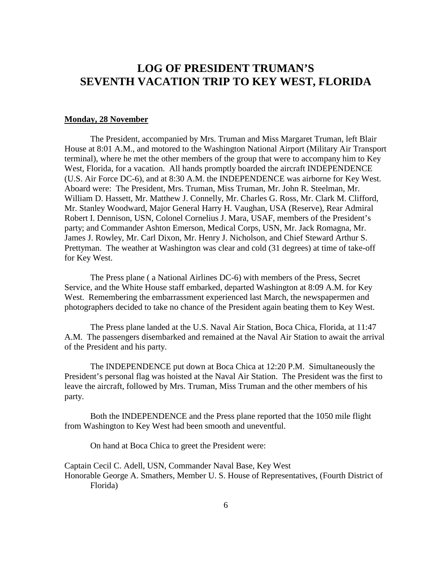### **LOG OF PRESIDENT TRUMAN'S SEVENTH VACATION TRIP TO KEY WEST, FLORIDA**

#### **Monday, 28 November**

 The President, accompanied by Mrs. Truman and Miss Margaret Truman, left Blair House at 8:01 A.M., and motored to the Washington National Airport (Military Air Transport terminal), where he met the other members of the group that were to accompany him to Key West, Florida, for a vacation. All hands promptly boarded the aircraft INDEPENDENCE (U.S. Air Force DC-6), and at 8:30 A.M. the INDEPENDENCE was airborne for Key West. Aboard were: The President, Mrs. Truman, Miss Truman, Mr. John R. Steelman, Mr. William D. Hassett, Mr. Matthew J. Connelly, Mr. Charles G. Ross, Mr. Clark M. Clifford, Mr. Stanley Woodward, Major General Harry H. Vaughan, USA (Reserve), Rear Admiral Robert I. Dennison, USN, Colonel Cornelius J. Mara, USAF, members of the President's party; and Commander Ashton Emerson, Medical Corps, USN, Mr. Jack Romagna, Mr. James J. Rowley, Mr. Carl Dixon, Mr. Henry J. Nicholson, and Chief Steward Arthur S. Prettyman. The weather at Washington was clear and cold (31 degrees) at time of take-off for Key West.

 The Press plane ( a National Airlines DC-6) with members of the Press, Secret Service, and the White House staff embarked, departed Washington at 8:09 A.M. for Key West. Remembering the embarrassment experienced last March, the newspapermen and photographers decided to take no chance of the President again beating them to Key West.

 The Press plane landed at the U.S. Naval Air Station, Boca Chica, Florida, at 11:47 A.M. The passengers disembarked and remained at the Naval Air Station to await the arrival of the President and his party.

 The INDEPENDENCE put down at Boca Chica at 12:20 P.M. Simultaneously the President's personal flag was hoisted at the Naval Air Station. The President was the first to leave the aircraft, followed by Mrs. Truman, Miss Truman and the other members of his party.

 Both the INDEPENDENCE and the Press plane reported that the 1050 mile flight from Washington to Key West had been smooth and uneventful.

On hand at Boca Chica to greet the President were:

Captain Cecil C. Adell, USN, Commander Naval Base, Key West Honorable George A. Smathers, Member U. S. House of Representatives, (Fourth District of Florida)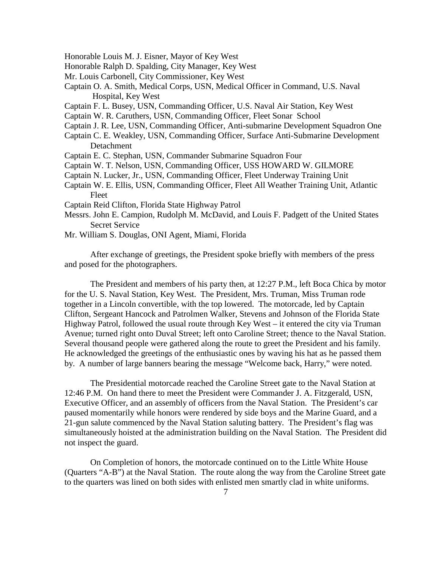Honorable Louis M. J. Eisner, Mayor of Key West

Honorable Ralph D. Spalding, City Manager, Key West

- Mr. Louis Carbonell, City Commissioner, Key West
- Captain O. A. Smith, Medical Corps, USN, Medical Officer in Command, U.S. Naval Hospital, Key West
- Captain F. L. Busey, USN, Commanding Officer, U.S. Naval Air Station, Key West

Captain W. R. Caruthers, USN, Commanding Officer, Fleet Sonar School

- Captain J. R. Lee, USN, Commanding Officer, Anti-submarine Development Squadron One
- Captain C. E. Weakley, USN, Commanding Officer, Surface Anti-Submarine Development Detachment
- Captain E. C. Stephan, USN, Commander Submarine Squadron Four
- Captain W. T. Nelson, USN, Commanding Officer, USS HOWARD W. GILMORE
- Captain N. Lucker, Jr., USN, Commanding Officer, Fleet Underway Training Unit
- Captain W. E. Ellis, USN, Commanding Officer, Fleet All Weather Training Unit, Atlantic Fleet
- Captain Reid Clifton, Florida State Highway Patrol
- Messrs. John E. Campion, Rudolph M. McDavid, and Louis F. Padgett of the United States Secret Service
- Mr. William S. Douglas, ONI Agent, Miami, Florida

 After exchange of greetings, the President spoke briefly with members of the press and posed for the photographers.

 The President and members of his party then, at 12:27 P.M., left Boca Chica by motor for the U. S. Naval Station, Key West. The President, Mrs. Truman, Miss Truman rode together in a Lincoln convertible, with the top lowered. The motorcade, led by Captain Clifton, Sergeant Hancock and Patrolmen Walker, Stevens and Johnson of the Florida State Highway Patrol, followed the usual route through Key West – it entered the city via Truman Avenue; turned right onto Duval Street; left onto Caroline Street; thence to the Naval Station. Several thousand people were gathered along the route to greet the President and his family. He acknowledged the greetings of the enthusiastic ones by waving his hat as he passed them by. A number of large banners bearing the message "Welcome back, Harry," were noted.

 The Presidential motorcade reached the Caroline Street gate to the Naval Station at 12:46 P.M. On hand there to meet the President were Commander J. A. Fitzgerald, USN, Executive Officer, and an assembly of officers from the Naval Station. The President's car paused momentarily while honors were rendered by side boys and the Marine Guard, and a 21-gun salute commenced by the Naval Station saluting battery. The President's flag was simultaneously hoisted at the administration building on the Naval Station. The President did not inspect the guard.

 On Completion of honors, the motorcade continued on to the Little White House (Quarters "A-B") at the Naval Station. The route along the way from the Caroline Street gate to the quarters was lined on both sides with enlisted men smartly clad in white uniforms.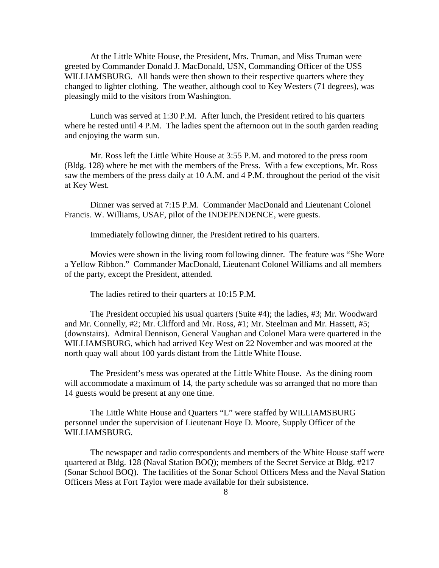At the Little White House, the President, Mrs. Truman, and Miss Truman were greeted by Commander Donald J. MacDonald, USN, Commanding Officer of the USS WILLIAMSBURG. All hands were then shown to their respective quarters where they changed to lighter clothing. The weather, although cool to Key Westers (71 degrees), was pleasingly mild to the visitors from Washington.

 Lunch was served at 1:30 P.M. After lunch, the President retired to his quarters where he rested until 4 P.M. The ladies spent the afternoon out in the south garden reading and enjoying the warm sun.

 Mr. Ross left the Little White House at 3:55 P.M. and motored to the press room (Bldg. 128) where he met with the members of the Press. With a few exceptions, Mr. Ross saw the members of the press daily at 10 A.M. and 4 P.M. throughout the period of the visit at Key West.

 Dinner was served at 7:15 P.M. Commander MacDonald and Lieutenant Colonel Francis. W. Williams, USAF, pilot of the INDEPENDENCE, were guests.

Immediately following dinner, the President retired to his quarters.

 Movies were shown in the living room following dinner. The feature was "She Wore a Yellow Ribbon." Commander MacDonald, Lieutenant Colonel Williams and all members of the party, except the President, attended.

The ladies retired to their quarters at 10:15 P.M.

 The President occupied his usual quarters (Suite #4); the ladies, #3; Mr. Woodward and Mr. Connelly, #2; Mr. Clifford and Mr. Ross, #1; Mr. Steelman and Mr. Hassett, #5; (downstairs). Admiral Dennison, General Vaughan and Colonel Mara were quartered in the WILLIAMSBURG, which had arrived Key West on 22 November and was moored at the north quay wall about 100 yards distant from the Little White House.

 The President's mess was operated at the Little White House. As the dining room will accommodate a maximum of 14, the party schedule was so arranged that no more than 14 guests would be present at any one time.

 The Little White House and Quarters "L" were staffed by WILLIAMSBURG personnel under the supervision of Lieutenant Hoye D. Moore, Supply Officer of the WILLIAMSBURG.

 The newspaper and radio correspondents and members of the White House staff were quartered at Bldg. 128 (Naval Station BOQ); members of the Secret Service at Bldg. #217 (Sonar School BOQ). The facilities of the Sonar School Officers Mess and the Naval Station Officers Mess at Fort Taylor were made available for their subsistence.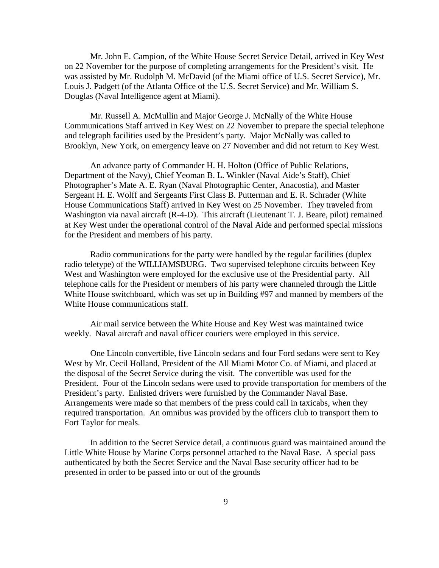Mr. John E. Campion, of the White House Secret Service Detail, arrived in Key West on 22 November for the purpose of completing arrangements for the President's visit. He was assisted by Mr. Rudolph M. McDavid (of the Miami office of U.S. Secret Service), Mr. Louis J. Padgett (of the Atlanta Office of the U.S. Secret Service) and Mr. William S. Douglas (Naval Intelligence agent at Miami).

 Mr. Russell A. McMullin and Major George J. McNally of the White House Communications Staff arrived in Key West on 22 November to prepare the special telephone and telegraph facilities used by the President's party. Major McNally was called to Brooklyn, New York, on emergency leave on 27 November and did not return to Key West.

 An advance party of Commander H. H. Holton (Office of Public Relations, Department of the Navy), Chief Yeoman B. L. Winkler (Naval Aide's Staff), Chief Photographer's Mate A. E. Ryan (Naval Photographic Center, Anacostia), and Master Sergeant H. E. Wolff and Sergeants First Class B. Putterman and E. R. Schrader (White House Communications Staff) arrived in Key West on 25 November. They traveled from Washington via naval aircraft (R-4-D). This aircraft (Lieutenant T. J. Beare, pilot) remained at Key West under the operational control of the Naval Aide and performed special missions for the President and members of his party.

 Radio communications for the party were handled by the regular facilities (duplex radio teletype) of the WILLIAMSBURG. Two supervised telephone circuits between Key West and Washington were employed for the exclusive use of the Presidential party. All telephone calls for the President or members of his party were channeled through the Little White House switchboard, which was set up in Building #97 and manned by members of the White House communications staff.

 Air mail service between the White House and Key West was maintained twice weekly. Naval aircraft and naval officer couriers were employed in this service.

 One Lincoln convertible, five Lincoln sedans and four Ford sedans were sent to Key West by Mr. Cecil Holland, President of the All Miami Motor Co. of Miami, and placed at the disposal of the Secret Service during the visit. The convertible was used for the President. Four of the Lincoln sedans were used to provide transportation for members of the President's party. Enlisted drivers were furnished by the Commander Naval Base. Arrangements were made so that members of the press could call in taxicabs, when they required transportation. An omnibus was provided by the officers club to transport them to Fort Taylor for meals.

 In addition to the Secret Service detail, a continuous guard was maintained around the Little White House by Marine Corps personnel attached to the Naval Base. A special pass authenticated by both the Secret Service and the Naval Base security officer had to be presented in order to be passed into or out of the grounds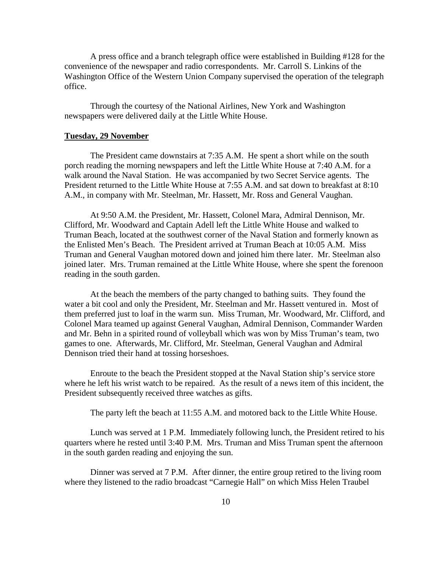A press office and a branch telegraph office were established in Building #128 for the convenience of the newspaper and radio correspondents. Mr. Carroll S. Linkins of the Washington Office of the Western Union Company supervised the operation of the telegraph office.

 Through the courtesy of the National Airlines, New York and Washington newspapers were delivered daily at the Little White House.

#### **Tuesday, 29 November**

 The President came downstairs at 7:35 A.M. He spent a short while on the south porch reading the morning newspapers and left the Little White House at 7:40 A.M. for a walk around the Naval Station. He was accompanied by two Secret Service agents. The President returned to the Little White House at 7:55 A.M. and sat down to breakfast at 8:10 A.M., in company with Mr. Steelman, Mr. Hassett, Mr. Ross and General Vaughan.

 At 9:50 A.M. the President, Mr. Hassett, Colonel Mara, Admiral Dennison, Mr. Clifford, Mr. Woodward and Captain Adell left the Little White House and walked to Truman Beach, located at the southwest corner of the Naval Station and formerly known as the Enlisted Men's Beach. The President arrived at Truman Beach at 10:05 A.M. Miss Truman and General Vaughan motored down and joined him there later. Mr. Steelman also joined later. Mrs. Truman remained at the Little White House, where she spent the forenoon reading in the south garden.

 At the beach the members of the party changed to bathing suits. They found the water a bit cool and only the President, Mr. Steelman and Mr. Hassett ventured in. Most of them preferred just to loaf in the warm sun. Miss Truman, Mr. Woodward, Mr. Clifford, and Colonel Mara teamed up against General Vaughan, Admiral Dennison, Commander Warden and Mr. Behn in a spirited round of volleyball which was won by Miss Truman's team, two games to one. Afterwards, Mr. Clifford, Mr. Steelman, General Vaughan and Admiral Dennison tried their hand at tossing horseshoes.

 Enroute to the beach the President stopped at the Naval Station ship's service store where he left his wrist watch to be repaired. As the result of a news item of this incident, the President subsequently received three watches as gifts.

The party left the beach at 11:55 A.M. and motored back to the Little White House.

 Lunch was served at 1 P.M. Immediately following lunch, the President retired to his quarters where he rested until 3:40 P.M. Mrs. Truman and Miss Truman spent the afternoon in the south garden reading and enjoying the sun.

 Dinner was served at 7 P.M. After dinner, the entire group retired to the living room where they listened to the radio broadcast "Carnegie Hall" on which Miss Helen Traubel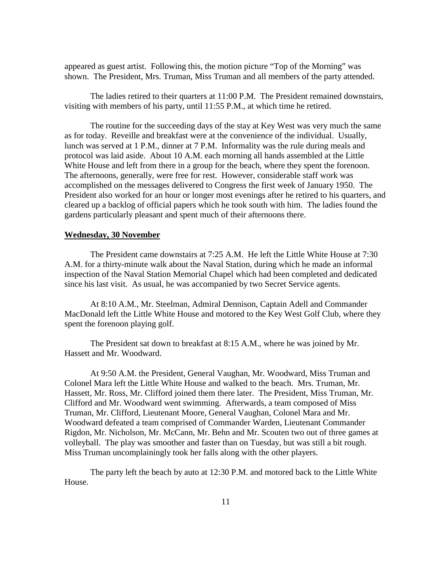appeared as guest artist. Following this, the motion picture "Top of the Morning" was shown. The President, Mrs. Truman, Miss Truman and all members of the party attended.

 The ladies retired to their quarters at 11:00 P.M. The President remained downstairs, visiting with members of his party, until 11:55 P.M., at which time he retired.

 The routine for the succeeding days of the stay at Key West was very much the same as for today. Reveille and breakfast were at the convenience of the individual. Usually, lunch was served at 1 P.M., dinner at 7 P.M. Informality was the rule during meals and protocol was laid aside. About 10 A.M. each morning all hands assembled at the Little White House and left from there in a group for the beach, where they spent the forenoon. The afternoons, generally, were free for rest. However, considerable staff work was accomplished on the messages delivered to Congress the first week of January 1950. The President also worked for an hour or longer most evenings after he retired to his quarters, and cleared up a backlog of official papers which he took south with him. The ladies found the gardens particularly pleasant and spent much of their afternoons there.

#### **Wednesday, 30 November**

The President came downstairs at 7:25 A.M. He left the Little White House at 7:30 A.M. for a thirty-minute walk about the Naval Station, during which he made an informal inspection of the Naval Station Memorial Chapel which had been completed and dedicated since his last visit. As usual, he was accompanied by two Secret Service agents.

 At 8:10 A.M., Mr. Steelman, Admiral Dennison, Captain Adell and Commander MacDonald left the Little White House and motored to the Key West Golf Club, where they spent the forenoon playing golf.

 The President sat down to breakfast at 8:15 A.M., where he was joined by Mr. Hassett and Mr. Woodward.

 At 9:50 A.M. the President, General Vaughan, Mr. Woodward, Miss Truman and Colonel Mara left the Little White House and walked to the beach. Mrs. Truman, Mr. Hassett, Mr. Ross, Mr. Clifford joined them there later. The President, Miss Truman, Mr. Clifford and Mr. Woodward went swimming. Afterwards, a team composed of Miss Truman, Mr. Clifford, Lieutenant Moore, General Vaughan, Colonel Mara and Mr. Woodward defeated a team comprised of Commander Warden, Lieutenant Commander Rigdon, Mr. Nicholson, Mr. McCann, Mr. Behn and Mr. Scouten two out of three games at volleyball. The play was smoother and faster than on Tuesday, but was still a bit rough. Miss Truman uncomplainingly took her falls along with the other players.

 The party left the beach by auto at 12:30 P.M. and motored back to the Little White House.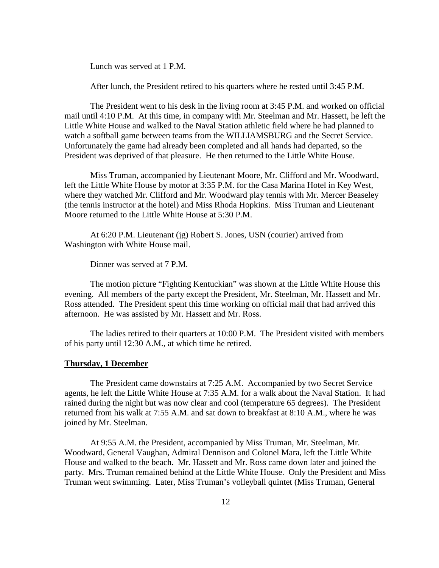Lunch was served at 1 P.M.

After lunch, the President retired to his quarters where he rested until 3:45 P.M.

 The President went to his desk in the living room at 3:45 P.M. and worked on official mail until 4:10 P.M. At this time, in company with Mr. Steelman and Mr. Hassett, he left the Little White House and walked to the Naval Station athletic field where he had planned to watch a softball game between teams from the WILLIAMSBURG and the Secret Service. Unfortunately the game had already been completed and all hands had departed, so the President was deprived of that pleasure. He then returned to the Little White House.

 Miss Truman, accompanied by Lieutenant Moore, Mr. Clifford and Mr. Woodward, left the Little White House by motor at 3:35 P.M. for the Casa Marina Hotel in Key West, where they watched Mr. Clifford and Mr. Woodward play tennis with Mr. Mercer Beaseley (the tennis instructor at the hotel) and Miss Rhoda Hopkins. Miss Truman and Lieutenant Moore returned to the Little White House at 5:30 P.M.

 At 6:20 P.M. Lieutenant (jg) Robert S. Jones, USN (courier) arrived from Washington with White House mail.

Dinner was served at 7 P.M.

 The motion picture "Fighting Kentuckian" was shown at the Little White House this evening. All members of the party except the President, Mr. Steelman, Mr. Hassett and Mr. Ross attended. The President spent this time working on official mail that had arrived this afternoon. He was assisted by Mr. Hassett and Mr. Ross.

 The ladies retired to their quarters at 10:00 P.M. The President visited with members of his party until 12:30 A.M., at which time he retired.

#### **Thursday, 1 December**

 The President came downstairs at 7:25 A.M. Accompanied by two Secret Service agents, he left the Little White House at 7:35 A.M. for a walk about the Naval Station. It had rained during the night but was now clear and cool (temperature 65 degrees). The President returned from his walk at 7:55 A.M. and sat down to breakfast at 8:10 A.M., where he was joined by Mr. Steelman.

 At 9:55 A.M. the President, accompanied by Miss Truman, Mr. Steelman, Mr. Woodward, General Vaughan, Admiral Dennison and Colonel Mara, left the Little White House and walked to the beach. Mr. Hassett and Mr. Ross came down later and joined the party. Mrs. Truman remained behind at the Little White House. Only the President and Miss Truman went swimming. Later, Miss Truman's volleyball quintet (Miss Truman, General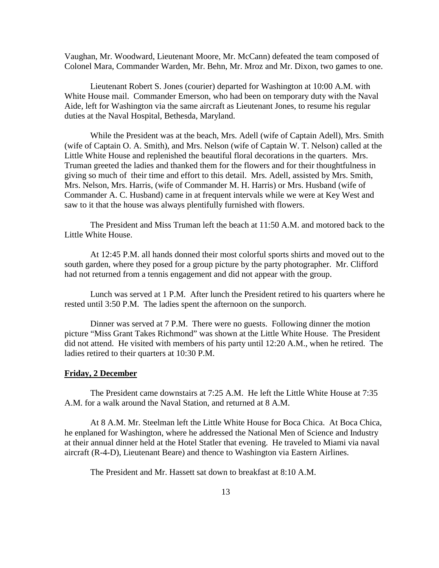Vaughan, Mr. Woodward, Lieutenant Moore, Mr. McCann) defeated the team composed of Colonel Mara, Commander Warden, Mr. Behn, Mr. Mroz and Mr. Dixon, two games to one.

 Lieutenant Robert S. Jones (courier) departed for Washington at 10:00 A.M. with White House mail. Commander Emerson, who had been on temporary duty with the Naval Aide, left for Washington via the same aircraft as Lieutenant Jones, to resume his regular duties at the Naval Hospital, Bethesda, Maryland.

 While the President was at the beach, Mrs. Adell (wife of Captain Adell), Mrs. Smith (wife of Captain O. A. Smith), and Mrs. Nelson (wife of Captain W. T. Nelson) called at the Little White House and replenished the beautiful floral decorations in the quarters. Mrs. Truman greeted the ladies and thanked them for the flowers and for their thoughtfulness in giving so much of their time and effort to this detail. Mrs. Adell, assisted by Mrs. Smith, Mrs. Nelson, Mrs. Harris, (wife of Commander M. H. Harris) or Mrs. Husband (wife of Commander A. C. Husband) came in at frequent intervals while we were at Key West and saw to it that the house was always plentifully furnished with flowers.

 The President and Miss Truman left the beach at 11:50 A.M. and motored back to the Little White House.

 At 12:45 P.M. all hands donned their most colorful sports shirts and moved out to the south garden, where they posed for a group picture by the party photographer. Mr. Clifford had not returned from a tennis engagement and did not appear with the group.

 Lunch was served at 1 P.M. After lunch the President retired to his quarters where he rested until 3:50 P.M. The ladies spent the afternoon on the sunporch.

 Dinner was served at 7 P.M. There were no guests. Following dinner the motion picture "Miss Grant Takes Richmond" was shown at the Little White House. The President did not attend. He visited with members of his party until 12:20 A.M., when he retired. The ladies retired to their quarters at 10:30 P.M.

#### **Friday, 2 December**

 The President came downstairs at 7:25 A.M. He left the Little White House at 7:35 A.M. for a walk around the Naval Station, and returned at 8 A.M.

 At 8 A.M. Mr. Steelman left the Little White House for Boca Chica. At Boca Chica, he enplaned for Washington, where he addressed the National Men of Science and Industry at their annual dinner held at the Hotel Statler that evening. He traveled to Miami via naval aircraft (R-4-D), Lieutenant Beare) and thence to Washington via Eastern Airlines.

The President and Mr. Hassett sat down to breakfast at 8:10 A.M.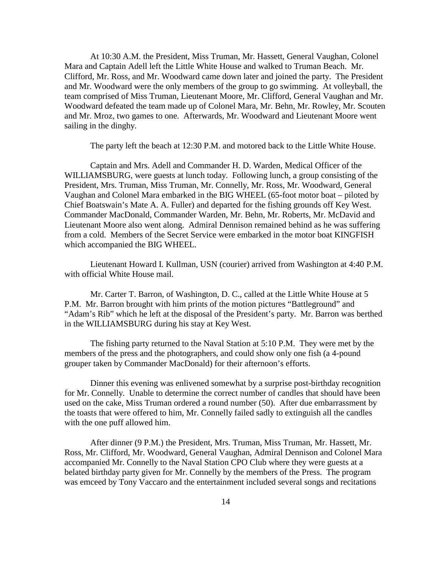At 10:30 A.M. the President, Miss Truman, Mr. Hassett, General Vaughan, Colonel Mara and Captain Adell left the Little White House and walked to Truman Beach. Mr. Clifford, Mr. Ross, and Mr. Woodward came down later and joined the party. The President and Mr. Woodward were the only members of the group to go swimming. At volleyball, the team comprised of Miss Truman, Lieutenant Moore, Mr. Clifford, General Vaughan and Mr. Woodward defeated the team made up of Colonel Mara, Mr. Behn, Mr. Rowley, Mr. Scouten and Mr. Mroz, two games to one. Afterwards, Mr. Woodward and Lieutenant Moore went sailing in the dinghy.

The party left the beach at 12:30 P.M. and motored back to the Little White House.

 Captain and Mrs. Adell and Commander H. D. Warden, Medical Officer of the WILLIAMSBURG, were guests at lunch today. Following lunch, a group consisting of the President, Mrs. Truman, Miss Truman, Mr. Connelly, Mr. Ross, Mr. Woodward, General Vaughan and Colonel Mara embarked in the BIG WHEEL (65-foot motor boat – piloted by Chief Boatswain's Mate A. A. Fuller) and departed for the fishing grounds off Key West. Commander MacDonald, Commander Warden, Mr. Behn, Mr. Roberts, Mr. McDavid and Lieutenant Moore also went along. Admiral Dennison remained behind as he was suffering from a cold. Members of the Secret Service were embarked in the motor boat KINGFISH which accompanied the BIG WHEEL.

 Lieutenant Howard I. Kullman, USN (courier) arrived from Washington at 4:40 P.M. with official White House mail.

 Mr. Carter T. Barron, of Washington, D. C., called at the Little White House at 5 P.M. Mr. Barron brought with him prints of the motion pictures "Battleground" and "Adam's Rib" which he left at the disposal of the President's party. Mr. Barron was berthed in the WILLIAMSBURG during his stay at Key West.

 The fishing party returned to the Naval Station at 5:10 P.M. They were met by the members of the press and the photographers, and could show only one fish (a 4-pound grouper taken by Commander MacDonald) for their afternoon's efforts.

 Dinner this evening was enlivened somewhat by a surprise post-birthday recognition for Mr. Connelly. Unable to determine the correct number of candles that should have been used on the cake, Miss Truman ordered a round number (50). After due embarrassment by the toasts that were offered to him, Mr. Connelly failed sadly to extinguish all the candles with the one puff allowed him.

 After dinner (9 P.M.) the President, Mrs. Truman, Miss Truman, Mr. Hassett, Mr. Ross, Mr. Clifford, Mr. Woodward, General Vaughan, Admiral Dennison and Colonel Mara accompanied Mr. Connelly to the Naval Station CPO Club where they were guests at a belated birthday party given for Mr. Connelly by the members of the Press. The program was emceed by Tony Vaccaro and the entertainment included several songs and recitations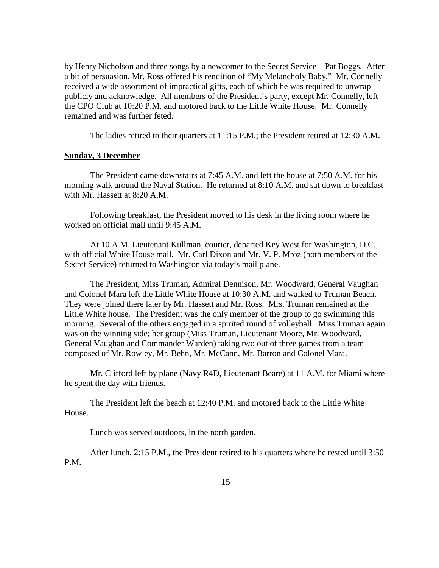by Henry Nicholson and three songs by a newcomer to the Secret Service – Pat Boggs. After a bit of persuasion, Mr. Ross offered his rendition of "My Melancholy Baby." Mr. Connelly received a wide assortment of impractical gifts, each of which he was required to unwrap publicly and acknowledge. All members of the President's party, except Mr. Connelly, left the CPO Club at 10:20 P.M. and motored back to the Little White House. Mr. Connelly remained and was further feted.

The ladies retired to their quarters at 11:15 P.M.; the President retired at 12:30 A.M.

#### **Sunday, 3 December**

 The President came downstairs at 7:45 A.M. and left the house at 7:50 A.M. for his morning walk around the Naval Station. He returned at 8:10 A.M. and sat down to breakfast with Mr. Hassett at 8:20 A.M.

 Following breakfast, the President moved to his desk in the living room where he worked on official mail until 9:45 A.M.

 At 10 A.M. Lieutenant Kullman, courier, departed Key West for Washington, D.C., with official White House mail. Mr. Carl Dixon and Mr. V. P. Mroz (both members of the Secret Service) returned to Washington via today's mail plane.

 The President, Miss Truman, Admiral Dennison, Mr. Woodward, General Vaughan and Colonel Mara left the Little White House at 10:30 A.M. and walked to Truman Beach. They were joined there later by Mr. Hassett and Mr. Ross. Mrs. Truman remained at the Little White house. The President was the only member of the group to go swimming this morning. Several of the others engaged in a spirited round of volleyball. Miss Truman again was on the winning side; her group (Miss Truman, Lieutenant Moore, Mr. Woodward, General Vaughan and Commander Warden) taking two out of three games from a team composed of Mr. Rowley, Mr. Behn, Mr. McCann, Mr. Barron and Colonel Mara.

 Mr. Clifford left by plane (Navy R4D, Lieutenant Beare) at 11 A.M. for Miami where he spent the day with friends.

 The President left the beach at 12:40 P.M. and motored back to the Little White House.

Lunch was served outdoors, in the north garden.

 After lunch, 2:15 P.M., the President retired to his quarters where he rested until 3:50 P.M.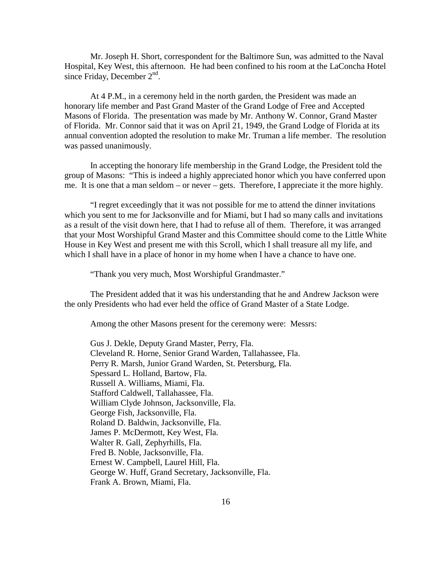Mr. Joseph H. Short, correspondent for the Baltimore Sun, was admitted to the Naval Hospital, Key West, this afternoon. He had been confined to his room at the LaConcha Hotel since Friday, December 2<sup>nd</sup>.

 At 4 P.M., in a ceremony held in the north garden, the President was made an honorary life member and Past Grand Master of the Grand Lodge of Free and Accepted Masons of Florida. The presentation was made by Mr. Anthony W. Connor, Grand Master of Florida. Mr. Connor said that it was on April 21, 1949, the Grand Lodge of Florida at its annual convention adopted the resolution to make Mr. Truman a life member. The resolution was passed unanimously.

 In accepting the honorary life membership in the Grand Lodge, the President told the group of Masons: "This is indeed a highly appreciated honor which you have conferred upon me. It is one that a man seldom – or never – gets. Therefore, I appreciate it the more highly.

 "I regret exceedingly that it was not possible for me to attend the dinner invitations which you sent to me for Jacksonville and for Miami, but I had so many calls and invitations as a result of the visit down here, that I had to refuse all of them. Therefore, it was arranged that your Most Worshipful Grand Master and this Committee should come to the Little White House in Key West and present me with this Scroll, which I shall treasure all my life, and which I shall have in a place of honor in my home when I have a chance to have one.

"Thank you very much, Most Worshipful Grandmaster."

 The President added that it was his understanding that he and Andrew Jackson were the only Presidents who had ever held the office of Grand Master of a State Lodge.

Among the other Masons present for the ceremony were: Messrs:

 Gus J. Dekle, Deputy Grand Master, Perry, Fla. Cleveland R. Horne, Senior Grand Warden, Tallahassee, Fla. Perry R. Marsh, Junior Grand Warden, St. Petersburg, Fla. Spessard L. Holland, Bartow, Fla. Russell A. Williams, Miami, Fla. Stafford Caldwell, Tallahassee, Fla. William Clyde Johnson, Jacksonville, Fla. George Fish, Jacksonville, Fla. Roland D. Baldwin, Jacksonville, Fla. James P. McDermott, Key West, Fla. Walter R. Gall, Zephyrhills, Fla. Fred B. Noble, Jacksonville, Fla. Ernest W. Campbell, Laurel Hill, Fla. George W. Huff, Grand Secretary, Jacksonville, Fla. Frank A. Brown, Miami, Fla.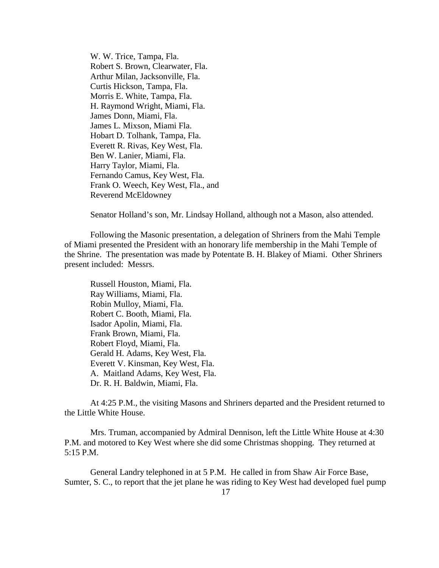W. W. Trice, Tampa, Fla. Robert S. Brown, Clearwater, Fla. Arthur Milan, Jacksonville, Fla. Curtis Hickson, Tampa, Fla. Morris E. White, Tampa, Fla. H. Raymond Wright, Miami, Fla. James Donn, Miami, Fla. James L. Mixson, Miami Fla. Hobart D. Tolhank, Tampa, Fla. Everett R. Rivas, Key West, Fla. Ben W. Lanier, Miami, Fla. Harry Taylor, Miami, Fla. Fernando Camus, Key West, Fla. Frank O. Weech, Key West, Fla., and Reverend McEldowney

Senator Holland's son, Mr. Lindsay Holland, although not a Mason, also attended.

 Following the Masonic presentation, a delegation of Shriners from the Mahi Temple of Miami presented the President with an honorary life membership in the Mahi Temple of the Shrine. The presentation was made by Potentate B. H. Blakey of Miami. Other Shriners present included: Messrs.

 Russell Houston, Miami, Fla. Ray Williams, Miami, Fla. Robin Mulloy, Miami, Fla. Robert C. Booth, Miami, Fla. Isador Apolin, Miami, Fla. Frank Brown, Miami, Fla. Robert Floyd, Miami, Fla. Gerald H. Adams, Key West, Fla. Everett V. Kinsman, Key West, Fla. A. Maitland Adams, Key West, Fla. Dr. R. H. Baldwin, Miami, Fla.

At 4:25 P.M., the visiting Masons and Shriners departed and the President returned to the Little White House.

 Mrs. Truman, accompanied by Admiral Dennison, left the Little White House at 4:30 P.M. and motored to Key West where she did some Christmas shopping. They returned at 5:15 P.M.

 General Landry telephoned in at 5 P.M. He called in from Shaw Air Force Base, Sumter, S. C., to report that the jet plane he was riding to Key West had developed fuel pump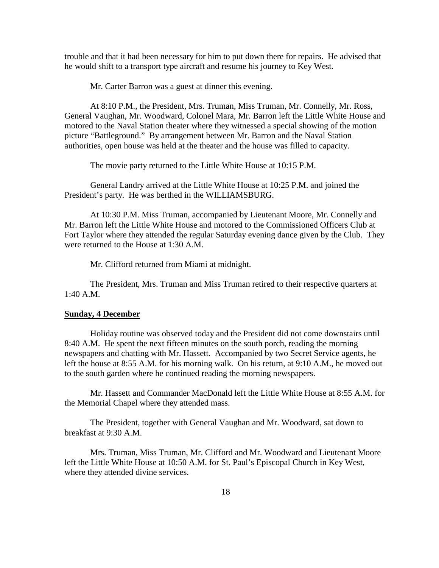trouble and that it had been necessary for him to put down there for repairs. He advised that he would shift to a transport type aircraft and resume his journey to Key West.

Mr. Carter Barron was a guest at dinner this evening.

 At 8:10 P.M., the President, Mrs. Truman, Miss Truman, Mr. Connelly, Mr. Ross, General Vaughan, Mr. Woodward, Colonel Mara, Mr. Barron left the Little White House and motored to the Naval Station theater where they witnessed a special showing of the motion picture "Battleground." By arrangement between Mr. Barron and the Naval Station authorities, open house was held at the theater and the house was filled to capacity.

The movie party returned to the Little White House at 10:15 P.M.

 General Landry arrived at the Little White House at 10:25 P.M. and joined the President's party. He was berthed in the WILLIAMSBURG.

 At 10:30 P.M. Miss Truman, accompanied by Lieutenant Moore, Mr. Connelly and Mr. Barron left the Little White House and motored to the Commissioned Officers Club at Fort Taylor where they attended the regular Saturday evening dance given by the Club. They were returned to the House at 1:30 A.M.

Mr. Clifford returned from Miami at midnight.

 The President, Mrs. Truman and Miss Truman retired to their respective quarters at 1:40 A.M.

#### **Sunday, 4 December**

 Holiday routine was observed today and the President did not come downstairs until 8:40 A.M. He spent the next fifteen minutes on the south porch, reading the morning newspapers and chatting with Mr. Hassett. Accompanied by two Secret Service agents, he left the house at 8:55 A.M. for his morning walk. On his return, at 9:10 A.M., he moved out to the south garden where he continued reading the morning newspapers.

 Mr. Hassett and Commander MacDonald left the Little White House at 8:55 A.M. for the Memorial Chapel where they attended mass.

 The President, together with General Vaughan and Mr. Woodward, sat down to breakfast at 9:30 A.M.

 Mrs. Truman, Miss Truman, Mr. Clifford and Mr. Woodward and Lieutenant Moore left the Little White House at 10:50 A.M. for St. Paul's Episcopal Church in Key West, where they attended divine services.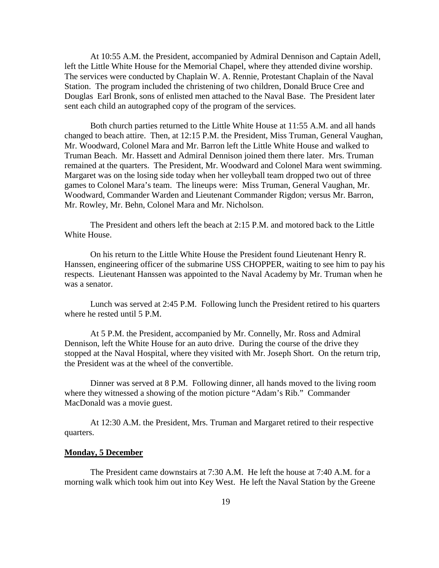At 10:55 A.M. the President, accompanied by Admiral Dennison and Captain Adell, left the Little White House for the Memorial Chapel, where they attended divine worship. The services were conducted by Chaplain W. A. Rennie, Protestant Chaplain of the Naval Station. The program included the christening of two children, Donald Bruce Cree and Douglas Earl Bronk, sons of enlisted men attached to the Naval Base. The President later sent each child an autographed copy of the program of the services.

 Both church parties returned to the Little White House at 11:55 A.M. and all hands changed to beach attire. Then, at 12:15 P.M. the President, Miss Truman, General Vaughan, Mr. Woodward, Colonel Mara and Mr. Barron left the Little White House and walked to Truman Beach. Mr. Hassett and Admiral Dennison joined them there later. Mrs. Truman remained at the quarters. The President, Mr. Woodward and Colonel Mara went swimming. Margaret was on the losing side today when her volleyball team dropped two out of three games to Colonel Mara's team. The lineups were: Miss Truman, General Vaughan, Mr. Woodward, Commander Warden and Lieutenant Commander Rigdon; versus Mr. Barron, Mr. Rowley, Mr. Behn, Colonel Mara and Mr. Nicholson.

 The President and others left the beach at 2:15 P.M. and motored back to the Little White House.

 On his return to the Little White House the President found Lieutenant Henry R. Hanssen, engineering officer of the submarine USS CHOPPER, waiting to see him to pay his respects. Lieutenant Hanssen was appointed to the Naval Academy by Mr. Truman when he was a senator.

 Lunch was served at 2:45 P.M. Following lunch the President retired to his quarters where he rested until 5 P.M.

 At 5 P.M. the President, accompanied by Mr. Connelly, Mr. Ross and Admiral Dennison, left the White House for an auto drive. During the course of the drive they stopped at the Naval Hospital, where they visited with Mr. Joseph Short. On the return trip, the President was at the wheel of the convertible.

 Dinner was served at 8 P.M. Following dinner, all hands moved to the living room where they witnessed a showing of the motion picture "Adam's Rib." Commander MacDonald was a movie guest.

 At 12:30 A.M. the President, Mrs. Truman and Margaret retired to their respective quarters.

#### **Monday, 5 December**

 The President came downstairs at 7:30 A.M. He left the house at 7:40 A.M. for a morning walk which took him out into Key West. He left the Naval Station by the Greene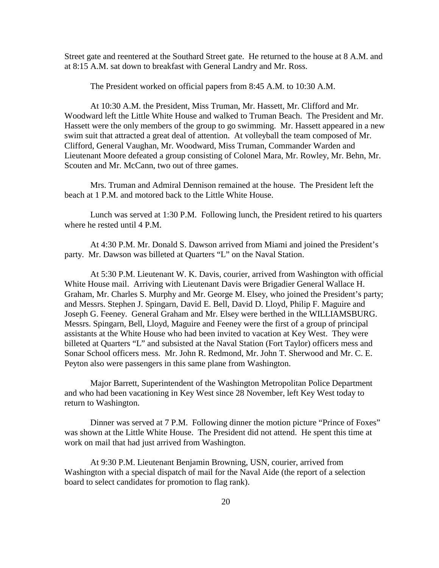Street gate and reentered at the Southard Street gate. He returned to the house at 8 A.M. and at 8:15 A.M. sat down to breakfast with General Landry and Mr. Ross.

The President worked on official papers from 8:45 A.M. to 10:30 A.M.

 At 10:30 A.M. the President, Miss Truman, Mr. Hassett, Mr. Clifford and Mr. Woodward left the Little White House and walked to Truman Beach. The President and Mr. Hassett were the only members of the group to go swimming. Mr. Hassett appeared in a new swim suit that attracted a great deal of attention. At volleyball the team composed of Mr. Clifford, General Vaughan, Mr. Woodward, Miss Truman, Commander Warden and Lieutenant Moore defeated a group consisting of Colonel Mara, Mr. Rowley, Mr. Behn, Mr. Scouten and Mr. McCann, two out of three games.

 Mrs. Truman and Admiral Dennison remained at the house. The President left the beach at 1 P.M. and motored back to the Little White House.

 Lunch was served at 1:30 P.M. Following lunch, the President retired to his quarters where he rested until 4 P.M.

 At 4:30 P.M. Mr. Donald S. Dawson arrived from Miami and joined the President's party. Mr. Dawson was billeted at Quarters "L" on the Naval Station.

 At 5:30 P.M. Lieutenant W. K. Davis, courier, arrived from Washington with official White House mail. Arriving with Lieutenant Davis were Brigadier General Wallace H. Graham, Mr. Charles S. Murphy and Mr. George M. Elsey, who joined the President's party; and Messrs. Stephen J. Spingarn, David E. Bell, David D. Lloyd, Philip F. Maguire and Joseph G. Feeney. General Graham and Mr. Elsey were berthed in the WILLIAMSBURG. Messrs. Spingarn, Bell, Lloyd, Maguire and Feeney were the first of a group of principal assistants at the White House who had been invited to vacation at Key West. They were billeted at Quarters "L" and subsisted at the Naval Station (Fort Taylor) officers mess and Sonar School officers mess. Mr. John R. Redmond, Mr. John T. Sherwood and Mr. C. E. Peyton also were passengers in this same plane from Washington.

 Major Barrett, Superintendent of the Washington Metropolitan Police Department and who had been vacationing in Key West since 28 November, left Key West today to return to Washington.

 Dinner was served at 7 P.M. Following dinner the motion picture "Prince of Foxes" was shown at the Little White House. The President did not attend. He spent this time at work on mail that had just arrived from Washington.

 At 9:30 P.M. Lieutenant Benjamin Browning, USN, courier, arrived from Washington with a special dispatch of mail for the Naval Aide (the report of a selection board to select candidates for promotion to flag rank).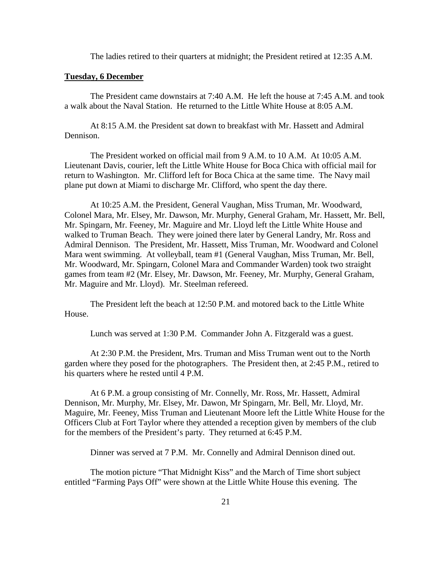The ladies retired to their quarters at midnight; the President retired at 12:35 A.M.

#### **Tuesday, 6 December**

 The President came downstairs at 7:40 A.M. He left the house at 7:45 A.M. and took a walk about the Naval Station. He returned to the Little White House at 8:05 A.M.

 At 8:15 A.M. the President sat down to breakfast with Mr. Hassett and Admiral Dennison.

The President worked on official mail from 9 A.M. to 10 A.M. At 10:05 A.M. Lieutenant Davis, courier, left the Little White House for Boca Chica with official mail for return to Washington. Mr. Clifford left for Boca Chica at the same time. The Navy mail plane put down at Miami to discharge Mr. Clifford, who spent the day there.

 At 10:25 A.M. the President, General Vaughan, Miss Truman, Mr. Woodward, Colonel Mara, Mr. Elsey, Mr. Dawson, Mr. Murphy, General Graham, Mr. Hassett, Mr. Bell, Mr. Spingarn, Mr. Feeney, Mr. Maguire and Mr. Lloyd left the Little White House and walked to Truman Beach. They were joined there later by General Landry, Mr. Ross and Admiral Dennison. The President, Mr. Hassett, Miss Truman, Mr. Woodward and Colonel Mara went swimming. At volleyball, team #1 (General Vaughan, Miss Truman, Mr. Bell, Mr. Woodward, Mr. Spingarn, Colonel Mara and Commander Warden) took two straight games from team #2 (Mr. Elsey, Mr. Dawson, Mr. Feeney, Mr. Murphy, General Graham, Mr. Maguire and Mr. Lloyd). Mr. Steelman refereed.

 The President left the beach at 12:50 P.M. and motored back to the Little White House.

Lunch was served at 1:30 P.M. Commander John A. Fitzgerald was a guest.

 At 2:30 P.M. the President, Mrs. Truman and Miss Truman went out to the North garden where they posed for the photographers. The President then, at 2:45 P.M., retired to his quarters where he rested until 4 P.M.

 At 6 P.M. a group consisting of Mr. Connelly, Mr. Ross, Mr. Hassett, Admiral Dennison, Mr. Murphy, Mr. Elsey, Mr. Dawon, Mr Spingarn, Mr. Bell, Mr. Lloyd, Mr. Maguire, Mr. Feeney, Miss Truman and Lieutenant Moore left the Little White House for the Officers Club at Fort Taylor where they attended a reception given by members of the club for the members of the President's party. They returned at 6:45 P.M.

Dinner was served at 7 P.M. Mr. Connelly and Admiral Dennison dined out.

 The motion picture "That Midnight Kiss" and the March of Time short subject entitled "Farming Pays Off" were shown at the Little White House this evening. The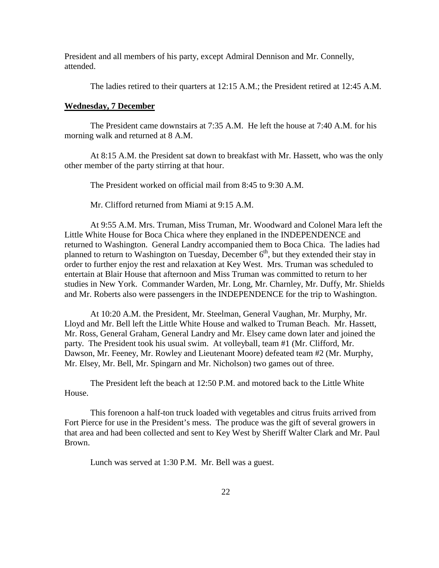President and all members of his party, except Admiral Dennison and Mr. Connelly, attended.

The ladies retired to their quarters at 12:15 A.M.; the President retired at 12:45 A.M.

#### **Wednesday, 7 December**

 The President came downstairs at 7:35 A.M. He left the house at 7:40 A.M. for his morning walk and returned at 8 A.M.

 At 8:15 A.M. the President sat down to breakfast with Mr. Hassett, who was the only other member of the party stirring at that hour.

The President worked on official mail from 8:45 to 9:30 A.M.

Mr. Clifford returned from Miami at 9:15 A.M.

 At 9:55 A.M. Mrs. Truman, Miss Truman, Mr. Woodward and Colonel Mara left the Little White House for Boca Chica where they enplaned in the INDEPENDENCE and returned to Washington. General Landry accompanied them to Boca Chica. The ladies had planned to return to Washington on Tuesday, December  $6<sup>th</sup>$ , but they extended their stay in order to further enjoy the rest and relaxation at Key West. Mrs. Truman was scheduled to entertain at Blair House that afternoon and Miss Truman was committed to return to her studies in New York. Commander Warden, Mr. Long, Mr. Charnley, Mr. Duffy, Mr. Shields and Mr. Roberts also were passengers in the INDEPENDENCE for the trip to Washington.

 At 10:20 A.M. the President, Mr. Steelman, General Vaughan, Mr. Murphy, Mr. Lloyd and Mr. Bell left the Little White House and walked to Truman Beach. Mr. Hassett, Mr. Ross, General Graham, General Landry and Mr. Elsey came down later and joined the party. The President took his usual swim. At volleyball, team #1 (Mr. Clifford, Mr. Dawson, Mr. Feeney, Mr. Rowley and Lieutenant Moore) defeated team #2 (Mr. Murphy, Mr. Elsey, Mr. Bell, Mr. Spingarn and Mr. Nicholson) two games out of three.

 The President left the beach at 12:50 P.M. and motored back to the Little White House.

 This forenoon a half-ton truck loaded with vegetables and citrus fruits arrived from Fort Pierce for use in the President's mess. The produce was the gift of several growers in that area and had been collected and sent to Key West by Sheriff Walter Clark and Mr. Paul Brown.

Lunch was served at 1:30 P.M. Mr. Bell was a guest.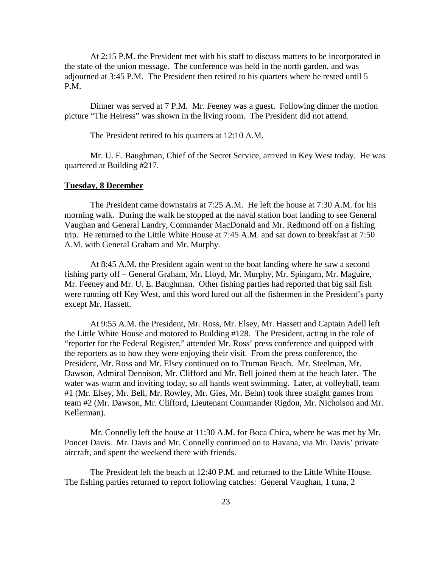At 2:15 P.M. the President met with his staff to discuss matters to be incorporated in the state of the union message. The conference was held in the north garden, and was adjourned at 3:45 P.M. The President then retired to his quarters where he rested until 5 P.M.

 Dinner was served at 7 P.M. Mr. Feeney was a guest. Following dinner the motion picture "The Heiress" was shown in the living room. The President did not attend.

The President retired to his quarters at 12:10 A.M.

 Mr. U. E. Baughman, Chief of the Secret Service, arrived in Key West today. He was quartered at Building #217.

#### **Tuesday, 8 December**

 The President came downstairs at 7:25 A.M. He left the house at 7:30 A.M. for his morning walk. During the walk he stopped at the naval station boat landing to see General Vaughan and General Landry, Commander MacDonald and Mr. Redmond off on a fishing trip. He returned to the Little White House at 7:45 A.M. and sat down to breakfast at 7:50 A.M. with General Graham and Mr. Murphy.

 At 8:45 A.M. the President again went to the boat landing where he saw a second fishing party off – General Graham, Mr. Lloyd, Mr. Murphy, Mr. Spingarn, Mr. Maguire, Mr. Feeney and Mr. U. E. Baughman. Other fishing parties had reported that big sail fish were running off Key West, and this word lured out all the fishermen in the President's party except Mr. Hassett.

 At 9:55 A.M. the President, Mr. Ross, Mr. Elsey, Mr. Hassett and Captain Adell left the Little White House and motored to Building #128. The President, acting in the role of "reporter for the Federal Register," attended Mr. Ross' press conference and quipped with the reporters as to how they were enjoying their visit. From the press conference, the President, Mr. Ross and Mr. Elsey continued on to Truman Beach. Mr. Steelman, Mr. Dawson, Admiral Dennison, Mr. Clifford and Mr. Bell joined them at the beach later. The water was warm and inviting today, so all hands went swimming. Later, at volleyball, team #1 (Mr. Elsey, Mr. Bell, Mr. Rowley, Mr. Gies, Mr. Behn) took three straight games from team #2 (Mr. Dawson, Mr. Clifford, Lieutenant Commander Rigdon, Mr. Nicholson and Mr. Kellerman).

 Mr. Connelly left the house at 11:30 A.M. for Boca Chica, where he was met by Mr. Poncet Davis. Mr. Davis and Mr. Connelly continued on to Havana, via Mr. Davis' private aircraft, and spent the weekend there with friends.

 The President left the beach at 12:40 P.M. and returned to the Little White House. The fishing parties returned to report following catches: General Vaughan, 1 tuna, 2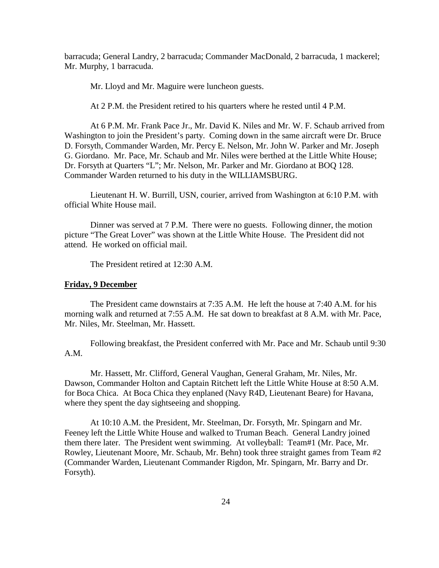barracuda; General Landry, 2 barracuda; Commander MacDonald, 2 barracuda, 1 mackerel; Mr. Murphy, 1 barracuda.

Mr. Lloyd and Mr. Maguire were luncheon guests.

At 2 P.M. the President retired to his quarters where he rested until 4 P.M.

 At 6 P.M. Mr. Frank Pace Jr., Mr. David K. Niles and Mr. W. F. Schaub arrived from Washington to join the President's party. Coming down in the same aircraft were Dr. Bruce D. Forsyth, Commander Warden, Mr. Percy E. Nelson, Mr. John W. Parker and Mr. Joseph G. Giordano. Mr. Pace, Mr. Schaub and Mr. Niles were berthed at the Little White House; Dr. Forsyth at Quarters "L"; Mr. Nelson, Mr. Parker and Mr. Giordano at BOQ 128. Commander Warden returned to his duty in the WILLIAMSBURG.

 Lieutenant H. W. Burrill, USN, courier, arrived from Washington at 6:10 P.M. with official White House mail.

 Dinner was served at 7 P.M. There were no guests. Following dinner, the motion picture "The Great Lover" was shown at the Little White House. The President did not attend. He worked on official mail.

The President retired at 12:30 A.M.

#### **Friday, 9 December**

 The President came downstairs at 7:35 A.M. He left the house at 7:40 A.M. for his morning walk and returned at 7:55 A.M. He sat down to breakfast at 8 A.M. with Mr. Pace, Mr. Niles, Mr. Steelman, Mr. Hassett.

 Following breakfast, the President conferred with Mr. Pace and Mr. Schaub until 9:30 A.M.

 Mr. Hassett, Mr. Clifford, General Vaughan, General Graham, Mr. Niles, Mr. Dawson, Commander Holton and Captain Ritchett left the Little White House at 8:50 A.M. for Boca Chica. At Boca Chica they enplaned (Navy R4D, Lieutenant Beare) for Havana, where they spent the day sightseeing and shopping.

 At 10:10 A.M. the President, Mr. Steelman, Dr. Forsyth, Mr. Spingarn and Mr. Feeney left the Little White House and walked to Truman Beach. General Landry joined them there later. The President went swimming. At volleyball: Team#1 (Mr. Pace, Mr. Rowley, Lieutenant Moore, Mr. Schaub, Mr. Behn) took three straight games from Team #2 (Commander Warden, Lieutenant Commander Rigdon, Mr. Spingarn, Mr. Barry and Dr. Forsyth).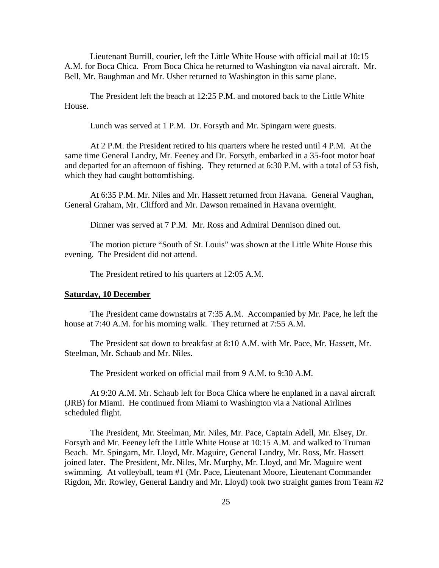Lieutenant Burrill, courier, left the Little White House with official mail at 10:15 A.M. for Boca Chica. From Boca Chica he returned to Washington via naval aircraft. Mr. Bell, Mr. Baughman and Mr. Usher returned to Washington in this same plane.

 The President left the beach at 12:25 P.M. and motored back to the Little White House.

Lunch was served at 1 P.M. Dr. Forsyth and Mr. Spingarn were guests.

 At 2 P.M. the President retired to his quarters where he rested until 4 P.M. At the same time General Landry, Mr. Feeney and Dr. Forsyth, embarked in a 35-foot motor boat and departed for an afternoon of fishing. They returned at 6:30 P.M. with a total of 53 fish, which they had caught bottomfishing.

 At 6:35 P.M. Mr. Niles and Mr. Hassett returned from Havana. General Vaughan, General Graham, Mr. Clifford and Mr. Dawson remained in Havana overnight.

Dinner was served at 7 P.M. Mr. Ross and Admiral Dennison dined out.

 The motion picture "South of St. Louis" was shown at the Little White House this evening. The President did not attend.

The President retired to his quarters at 12:05 A.M.

#### **Saturday, 10 December**

 The President came downstairs at 7:35 A.M. Accompanied by Mr. Pace, he left the house at 7:40 A.M. for his morning walk. They returned at 7:55 A.M.

 The President sat down to breakfast at 8:10 A.M. with Mr. Pace, Mr. Hassett, Mr. Steelman, Mr. Schaub and Mr. Niles.

The President worked on official mail from 9 A.M. to 9:30 A.M.

 At 9:20 A.M. Mr. Schaub left for Boca Chica where he enplaned in a naval aircraft (JRB) for Miami. He continued from Miami to Washington via a National Airlines scheduled flight.

 The President, Mr. Steelman, Mr. Niles, Mr. Pace, Captain Adell, Mr. Elsey, Dr. Forsyth and Mr. Feeney left the Little White House at 10:15 A.M. and walked to Truman Beach. Mr. Spingarn, Mr. Lloyd, Mr. Maguire, General Landry, Mr. Ross, Mr. Hassett joined later. The President, Mr. Niles, Mr. Murphy, Mr. Lloyd, and Mr. Maguire went swimming. At volleyball, team #1 (Mr. Pace, Lieutenant Moore, Lieutenant Commander Rigdon, Mr. Rowley, General Landry and Mr. Lloyd) took two straight games from Team #2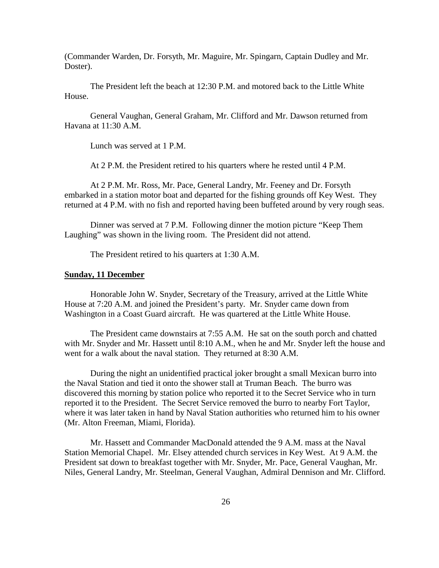(Commander Warden, Dr. Forsyth, Mr. Maguire, Mr. Spingarn, Captain Dudley and Mr. Doster).

 The President left the beach at 12:30 P.M. and motored back to the Little White House.

 General Vaughan, General Graham, Mr. Clifford and Mr. Dawson returned from Havana at 11:30 A.M.

Lunch was served at 1 P.M.

At 2 P.M. the President retired to his quarters where he rested until 4 P.M.

 At 2 P.M. Mr. Ross, Mr. Pace, General Landry, Mr. Feeney and Dr. Forsyth embarked in a station motor boat and departed for the fishing grounds off Key West. They returned at 4 P.M. with no fish and reported having been buffeted around by very rough seas.

 Dinner was served at 7 P.M. Following dinner the motion picture "Keep Them Laughing" was shown in the living room. The President did not attend.

The President retired to his quarters at 1:30 A.M.

#### **Sunday, 11 December**

 Honorable John W. Snyder, Secretary of the Treasury, arrived at the Little White House at 7:20 A.M. and joined the President's party. Mr. Snyder came down from Washington in a Coast Guard aircraft. He was quartered at the Little White House.

 The President came downstairs at 7:55 A.M. He sat on the south porch and chatted with Mr. Snyder and Mr. Hassett until 8:10 A.M., when he and Mr. Snyder left the house and went for a walk about the naval station. They returned at 8:30 A.M.

 During the night an unidentified practical joker brought a small Mexican burro into the Naval Station and tied it onto the shower stall at Truman Beach. The burro was discovered this morning by station police who reported it to the Secret Service who in turn reported it to the President. The Secret Service removed the burro to nearby Fort Taylor, where it was later taken in hand by Naval Station authorities who returned him to his owner (Mr. Alton Freeman, Miami, Florida).

 Mr. Hassett and Commander MacDonald attended the 9 A.M. mass at the Naval Station Memorial Chapel. Mr. Elsey attended church services in Key West. At 9 A.M. the President sat down to breakfast together with Mr. Snyder, Mr. Pace, General Vaughan, Mr. Niles, General Landry, Mr. Steelman, General Vaughan, Admiral Dennison and Mr. Clifford.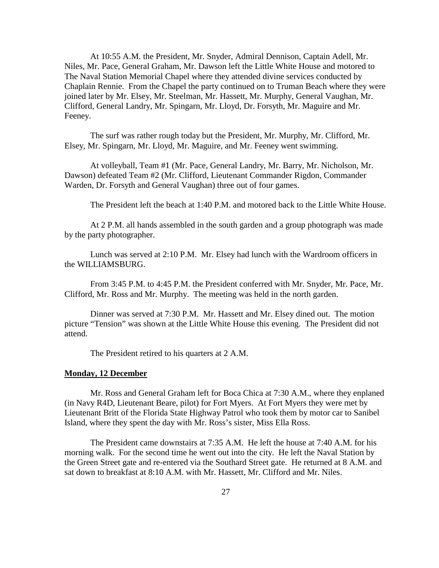At 10:55 A.M. the President, Mr. Snyder, Admiral Dennison, Captain Adell, Mr. Niles, Mr. Pace, General Graham, Mr. Dawson left the Little White House and motored to The Naval Station Memorial Chapel where they attended divine services conducted by Chaplain Rennie. From the Chapel the party continued on to Truman Beach where they were joined later by Mr. Elsey, Mr. Steelman, Mr. Hassett, Mr. Murphy, General Vaughan, Mr. Clifford, General Landry, Mr. Spingarn, Mr. Lloyd, Dr. Forsyth, Mr. Maguire and Mr. Feeney.

 The surf was rather rough today but the President, Mr. Murphy, Mr. Clifford, Mr. Elsey, Mr. Spingarn, Mr. Lloyd, Mr. Maguire, and Mr. Feeney went swimming.

 At volleyball, Team #1 (Mr. Pace, General Landry, Mr. Barry, Mr. Nicholson, Mr. Dawson) defeated Team #2 (Mr. Clifford, Lieutenant Commander Rigdon, Commander Warden, Dr. Forsyth and General Vaughan) three out of four games.

The President left the beach at 1:40 P.M. and motored back to the Little White House.

 At 2 P.M. all hands assembled in the south garden and a group photograph was made by the party photographer.

 Lunch was served at 2:10 P.M. Mr. Elsey had lunch with the Wardroom officers in the WILLIAMSBURG.

 From 3:45 P.M. to 4:45 P.M. the President conferred with Mr. Snyder, Mr. Pace, Mr. Clifford, Mr. Ross and Mr. Murphy. The meeting was held in the north garden.

 Dinner was served at 7:30 P.M. Mr. Hassett and Mr. Elsey dined out. The motion picture "Tension" was shown at the Little White House this evening. The President did not attend.

The President retired to his quarters at 2 A.M.

#### **Monday, 12 December**

 Mr. Ross and General Graham left for Boca Chica at 7:30 A.M., where they enplaned (in Navy R4D, Lieutenant Beare, pilot) for Fort Myers. At Fort Myers they were met by Lieutenant Britt of the Florida State Highway Patrol who took them by motor car to Sanibel Island, where they spent the day with Mr. Ross's sister, Miss Ella Ross.

 The President came downstairs at 7:35 A.M. He left the house at 7:40 A.M. for his morning walk. For the second time he went out into the city. He left the Naval Station by the Green Street gate and re-entered via the Southard Street gate. He returned at 8 A.M. and sat down to breakfast at 8:10 A.M. with Mr. Hassett, Mr. Clifford and Mr. Niles.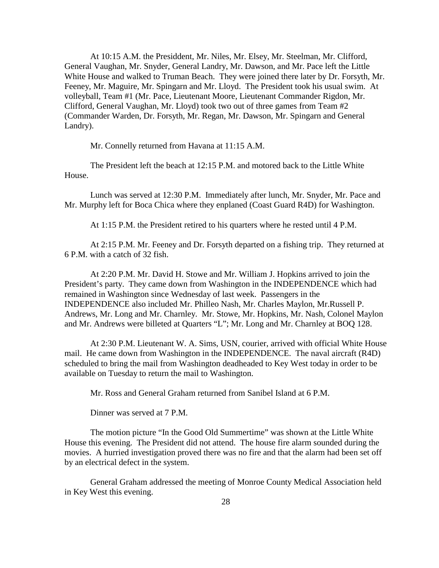At 10:15 A.M. the Presiddent, Mr. Niles, Mr. Elsey, Mr. Steelman, Mr. Clifford, General Vaughan, Mr. Snyder, General Landry, Mr. Dawson, and Mr. Pace left the Little White House and walked to Truman Beach. They were joined there later by Dr. Forsyth, Mr. Feeney, Mr. Maguire, Mr. Spingarn and Mr. Lloyd. The President took his usual swim. At volleyball, Team #1 (Mr. Pace, Lieutenant Moore, Lieutenant Commander Rigdon, Mr. Clifford, General Vaughan, Mr. Lloyd) took two out of three games from Team #2 (Commander Warden, Dr. Forsyth, Mr. Regan, Mr. Dawson, Mr. Spingarn and General Landry).

Mr. Connelly returned from Havana at 11:15 A.M.

 The President left the beach at 12:15 P.M. and motored back to the Little White House.

 Lunch was served at 12:30 P.M. Immediately after lunch, Mr. Snyder, Mr. Pace and Mr. Murphy left for Boca Chica where they enplaned (Coast Guard R4D) for Washington.

At 1:15 P.M. the President retired to his quarters where he rested until 4 P.M.

 At 2:15 P.M. Mr. Feeney and Dr. Forsyth departed on a fishing trip. They returned at 6 P.M. with a catch of 32 fish.

 At 2:20 P.M. Mr. David H. Stowe and Mr. William J. Hopkins arrived to join the President's party. They came down from Washington in the INDEPENDENCE which had remained in Washington since Wednesday of last week. Passengers in the INDEPENDENCE also included Mr. Philleo Nash, Mr. Charles Maylon, Mr.Russell P. Andrews, Mr. Long and Mr. Charnley. Mr. Stowe, Mr. Hopkins, Mr. Nash, Colonel Maylon and Mr. Andrews were billeted at Quarters "L"; Mr. Long and Mr. Charnley at BOQ 128.

 At 2:30 P.M. Lieutenant W. A. Sims, USN, courier, arrived with official White House mail. He came down from Washington in the INDEPENDENCE. The naval aircraft (R4D) scheduled to bring the mail from Washington deadheaded to Key West today in order to be available on Tuesday to return the mail to Washington.

Mr. Ross and General Graham returned from Sanibel Island at 6 P.M.

Dinner was served at 7 P.M.

 The motion picture "In the Good Old Summertime" was shown at the Little White House this evening. The President did not attend. The house fire alarm sounded during the movies. A hurried investigation proved there was no fire and that the alarm had been set off by an electrical defect in the system.

 General Graham addressed the meeting of Monroe County Medical Association held in Key West this evening.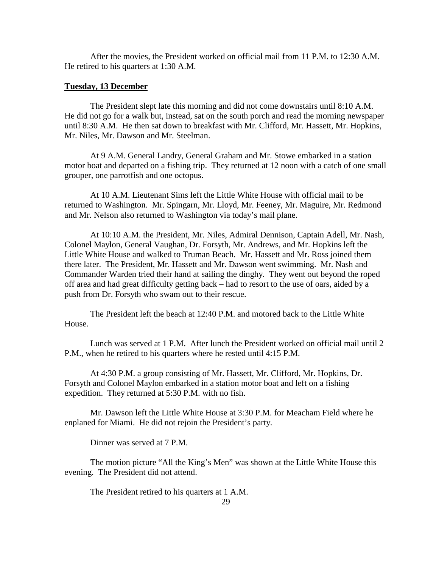After the movies, the President worked on official mail from 11 P.M. to 12:30 A.M. He retired to his quarters at 1:30 A.M.

#### **Tuesday, 13 December**

 The President slept late this morning and did not come downstairs until 8:10 A.M. He did not go for a walk but, instead, sat on the south porch and read the morning newspaper until 8:30 A.M. He then sat down to breakfast with Mr. Clifford, Mr. Hassett, Mr. Hopkins, Mr. Niles, Mr. Dawson and Mr. Steelman.

 At 9 A.M. General Landry, General Graham and Mr. Stowe embarked in a station motor boat and departed on a fishing trip. They returned at 12 noon with a catch of one small grouper, one parrotfish and one octopus.

 At 10 A.M. Lieutenant Sims left the Little White House with official mail to be returned to Washington. Mr. Spingarn, Mr. Lloyd, Mr. Feeney, Mr. Maguire, Mr. Redmond and Mr. Nelson also returned to Washington via today's mail plane.

 At 10:10 A.M. the President, Mr. Niles, Admiral Dennison, Captain Adell, Mr. Nash, Colonel Maylon, General Vaughan, Dr. Forsyth, Mr. Andrews, and Mr. Hopkins left the Little White House and walked to Truman Beach. Mr. Hassett and Mr. Ross joined them there later. The President, Mr. Hassett and Mr. Dawson went swimming. Mr. Nash and Commander Warden tried their hand at sailing the dinghy. They went out beyond the roped off area and had great difficulty getting back – had to resort to the use of oars, aided by a push from Dr. Forsyth who swam out to their rescue.

 The President left the beach at 12:40 P.M. and motored back to the Little White House.

 Lunch was served at 1 P.M. After lunch the President worked on official mail until 2 P.M., when he retired to his quarters where he rested until 4:15 P.M.

 At 4:30 P.M. a group consisting of Mr. Hassett, Mr. Clifford, Mr. Hopkins, Dr. Forsyth and Colonel Maylon embarked in a station motor boat and left on a fishing expedition. They returned at 5:30 P.M. with no fish.

 Mr. Dawson left the Little White House at 3:30 P.M. for Meacham Field where he enplaned for Miami. He did not rejoin the President's party.

Dinner was served at 7 P.M.

 The motion picture "All the King's Men" was shown at the Little White House this evening. The President did not attend.

The President retired to his quarters at 1 A.M.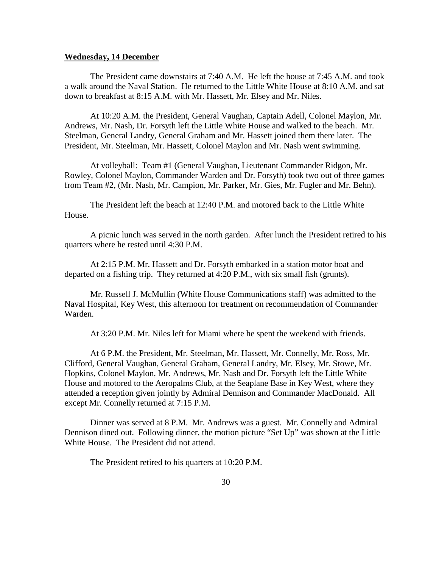#### **Wednesday, 14 December**

 The President came downstairs at 7:40 A.M. He left the house at 7:45 A.M. and took a walk around the Naval Station. He returned to the Little White House at 8:10 A.M. and sat down to breakfast at 8:15 A.M. with Mr. Hassett, Mr. Elsey and Mr. Niles.

 At 10:20 A.M. the President, General Vaughan, Captain Adell, Colonel Maylon, Mr. Andrews, Mr. Nash, Dr. Forsyth left the Little White House and walked to the beach. Mr. Steelman, General Landry, General Graham and Mr. Hassett joined them there later. The President, Mr. Steelman, Mr. Hassett, Colonel Maylon and Mr. Nash went swimming.

 At volleyball: Team #1 (General Vaughan, Lieutenant Commander Ridgon, Mr. Rowley, Colonel Maylon, Commander Warden and Dr. Forsyth) took two out of three games from Team #2, (Mr. Nash, Mr. Campion, Mr. Parker, Mr. Gies, Mr. Fugler and Mr. Behn).

 The President left the beach at 12:40 P.M. and motored back to the Little White House.

 A picnic lunch was served in the north garden. After lunch the President retired to his quarters where he rested until 4:30 P.M.

 At 2:15 P.M. Mr. Hassett and Dr. Forsyth embarked in a station motor boat and departed on a fishing trip. They returned at 4:20 P.M., with six small fish (grunts).

 Mr. Russell J. McMullin (White House Communications staff) was admitted to the Naval Hospital, Key West, this afternoon for treatment on recommendation of Commander Warden.

At 3:20 P.M. Mr. Niles left for Miami where he spent the weekend with friends.

 At 6 P.M. the President, Mr. Steelman, Mr. Hassett, Mr. Connelly, Mr. Ross, Mr. Clifford, General Vaughan, General Graham, General Landry, Mr. Elsey, Mr. Stowe, Mr. Hopkins, Colonel Maylon, Mr. Andrews, Mr. Nash and Dr. Forsyth left the Little White House and motored to the Aeropalms Club, at the Seaplane Base in Key West, where they attended a reception given jointly by Admiral Dennison and Commander MacDonald. All except Mr. Connelly returned at 7:15 P.M.

 Dinner was served at 8 P.M. Mr. Andrews was a guest. Mr. Connelly and Admiral Dennison dined out. Following dinner, the motion picture "Set Up" was shown at the Little White House. The President did not attend.

The President retired to his quarters at 10:20 P.M.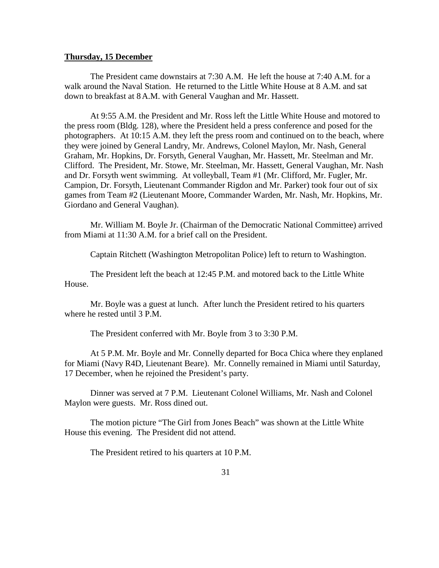#### **Thursday, 15 December**

 The President came downstairs at 7:30 A.M. He left the house at 7:40 A.M. for a walk around the Naval Station. He returned to the Little White House at 8 A.M. and sat down to breakfast at 8 A.M. with General Vaughan and Mr. Hassett.

 At 9:55 A.M. the President and Mr. Ross left the Little White House and motored to the press room (Bldg. 128), where the President held a press conference and posed for the photographers. At 10:15 A.M. they left the press room and continued on to the beach, where they were joined by General Landry, Mr. Andrews, Colonel Maylon, Mr. Nash, General Graham, Mr. Hopkins, Dr. Forsyth, General Vaughan, Mr. Hassett, Mr. Steelman and Mr. Clifford. The President, Mr. Stowe, Mr. Steelman, Mr. Hassett, General Vaughan, Mr. Nash and Dr. Forsyth went swimming. At volleyball, Team #1 (Mr. Clifford, Mr. Fugler, Mr. Campion, Dr. Forsyth, Lieutenant Commander Rigdon and Mr. Parker) took four out of six games from Team #2 (Lieutenant Moore, Commander Warden, Mr. Nash, Mr. Hopkins, Mr. Giordano and General Vaughan).

 Mr. William M. Boyle Jr. (Chairman of the Democratic National Committee) arrived from Miami at 11:30 A.M. for a brief call on the President.

Captain Ritchett (Washington Metropolitan Police) left to return to Washington.

 The President left the beach at 12:45 P.M. and motored back to the Little White House.

 Mr. Boyle was a guest at lunch. After lunch the President retired to his quarters where he rested until 3 P.M.

The President conferred with Mr. Boyle from 3 to 3:30 P.M.

 At 5 P.M. Mr. Boyle and Mr. Connelly departed for Boca Chica where they enplaned for Miami (Navy R4D, Lieutenant Beare). Mr. Connelly remained in Miami until Saturday, 17 December, when he rejoined the President's party.

 Dinner was served at 7 P.M. Lieutenant Colonel Williams, Mr. Nash and Colonel Maylon were guests. Mr. Ross dined out.

 The motion picture "The Girl from Jones Beach" was shown at the Little White House this evening. The President did not attend.

The President retired to his quarters at 10 P.M.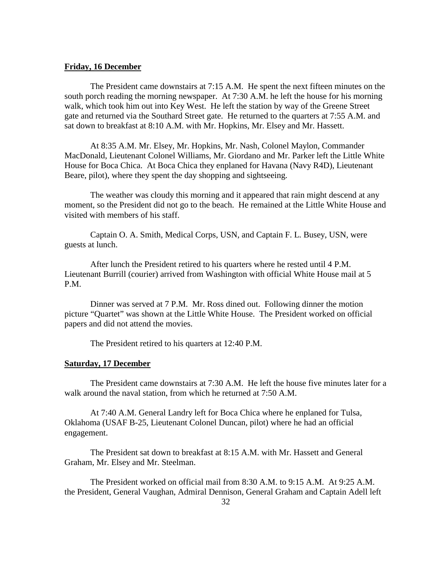#### **Friday, 16 December**

 The President came downstairs at 7:15 A.M. He spent the next fifteen minutes on the south porch reading the morning newspaper. At 7:30 A.M. he left the house for his morning walk, which took him out into Key West. He left the station by way of the Greene Street gate and returned via the Southard Street gate. He returned to the quarters at 7:55 A.M. and sat down to breakfast at 8:10 A.M. with Mr. Hopkins, Mr. Elsey and Mr. Hassett.

 At 8:35 A.M. Mr. Elsey, Mr. Hopkins, Mr. Nash, Colonel Maylon, Commander MacDonald, Lieutenant Colonel Williams, Mr. Giordano and Mr. Parker left the Little White House for Boca Chica. At Boca Chica they enplaned for Havana (Navy R4D), Lieutenant Beare, pilot), where they spent the day shopping and sightseeing.

 The weather was cloudy this morning and it appeared that rain might descend at any moment, so the President did not go to the beach. He remained at the Little White House and visited with members of his staff.

 Captain O. A. Smith, Medical Corps, USN, and Captain F. L. Busey, USN, were guests at lunch.

 After lunch the President retired to his quarters where he rested until 4 P.M. Lieutenant Burrill (courier) arrived from Washington with official White House mail at 5 P.M.

 Dinner was served at 7 P.M. Mr. Ross dined out. Following dinner the motion picture "Quartet" was shown at the Little White House. The President worked on official papers and did not attend the movies.

The President retired to his quarters at 12:40 P.M.

#### **Saturday, 17 December**

 The President came downstairs at 7:30 A.M. He left the house five minutes later for a walk around the naval station, from which he returned at 7:50 A.M.

 At 7:40 A.M. General Landry left for Boca Chica where he enplaned for Tulsa, Oklahoma (USAF B-25, Lieutenant Colonel Duncan, pilot) where he had an official engagement.

 The President sat down to breakfast at 8:15 A.M. with Mr. Hassett and General Graham, Mr. Elsey and Mr. Steelman.

 The President worked on official mail from 8:30 A.M. to 9:15 A.M. At 9:25 A.M. the President, General Vaughan, Admiral Dennison, General Graham and Captain Adell left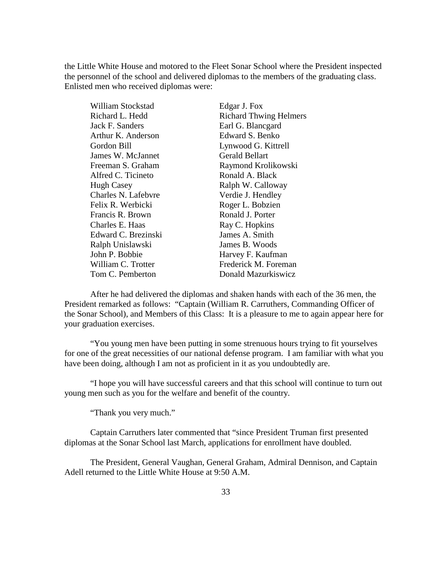the Little White House and motored to the Fleet Sonar School where the President inspected the personnel of the school and delivered diplomas to the members of the graduating class. Enlisted men who received diplomas were:

| William Stockstad   | Edgar J. Fox                  |
|---------------------|-------------------------------|
| Richard L. Hedd     | <b>Richard Thwing Helmers</b> |
| Jack F. Sanders     | Earl G. Blancgard             |
| Arthur K. Anderson  | Edward S. Benko               |
| Gordon Bill         | Lynwood G. Kittrell           |
| James W. McJannet   | <b>Gerald Bellart</b>         |
| Freeman S. Graham   | Raymond Krolikowski           |
| Alfred C. Ticineto  | Ronald A. Black               |
| <b>Hugh Casey</b>   | Ralph W. Calloway             |
| Charles N. Lafebyre | Verdie J. Hendley             |
| Felix R. Werbicki   | Roger L. Bobzien              |
| Francis R. Brown    | Ronald J. Porter              |
| Charles E. Haas     | Ray C. Hopkins                |
| Edward C. Brezinski | James A. Smith                |
| Ralph Unislawski    | James B. Woods                |
| John P. Bobbie      | Harvey F. Kaufman             |
| William C. Trotter  | Frederick M. Foreman          |
| Tom C. Pemberton    | Donald Mazurkiswicz           |

 After he had delivered the diplomas and shaken hands with each of the 36 men, the President remarked as follows: "Captain (William R. Carruthers, Commanding Officer of the Sonar School), and Members of this Class: It is a pleasure to me to again appear here for your graduation exercises.

 "You young men have been putting in some strenuous hours trying to fit yourselves for one of the great necessities of our national defense program. I am familiar with what you have been doing, although I am not as proficient in it as you undoubtedly are.

 "I hope you will have successful careers and that this school will continue to turn out young men such as you for the welfare and benefit of the country.

"Thank you very much."

 Captain Carruthers later commented that "since President Truman first presented diplomas at the Sonar School last March, applications for enrollment have doubled.

 The President, General Vaughan, General Graham, Admiral Dennison, and Captain Adell returned to the Little White House at 9:50 A.M.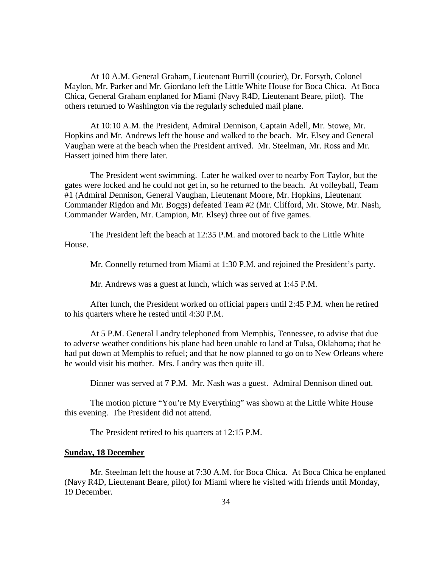At 10 A.M. General Graham, Lieutenant Burrill (courier), Dr. Forsyth, Colonel Maylon, Mr. Parker and Mr. Giordano left the Little White House for Boca Chica. At Boca Chica, General Graham enplaned for Miami (Navy R4D, Lieutenant Beare, pilot). The others returned to Washington via the regularly scheduled mail plane.

 At 10:10 A.M. the President, Admiral Dennison, Captain Adell, Mr. Stowe, Mr. Hopkins and Mr. Andrews left the house and walked to the beach. Mr. Elsey and General Vaughan were at the beach when the President arrived. Mr. Steelman, Mr. Ross and Mr. Hassett joined him there later.

 The President went swimming. Later he walked over to nearby Fort Taylor, but the gates were locked and he could not get in, so he returned to the beach. At volleyball, Team #1 (Admiral Dennison, General Vaughan, Lieutenant Moore, Mr. Hopkins, Lieutenant Commander Rigdon and Mr. Boggs) defeated Team #2 (Mr. Clifford, Mr. Stowe, Mr. Nash, Commander Warden, Mr. Campion, Mr. Elsey) three out of five games.

 The President left the beach at 12:35 P.M. and motored back to the Little White House.

Mr. Connelly returned from Miami at 1:30 P.M. and rejoined the President's party.

Mr. Andrews was a guest at lunch, which was served at 1:45 P.M.

 After lunch, the President worked on official papers until 2:45 P.M. when he retired to his quarters where he rested until 4:30 P.M.

 At 5 P.M. General Landry telephoned from Memphis, Tennessee, to advise that due to adverse weather conditions his plane had been unable to land at Tulsa, Oklahoma; that he had put down at Memphis to refuel; and that he now planned to go on to New Orleans where he would visit his mother. Mrs. Landry was then quite ill.

Dinner was served at 7 P.M. Mr. Nash was a guest. Admiral Dennison dined out.

 The motion picture "You're My Everything" was shown at the Little White House this evening. The President did not attend.

The President retired to his quarters at 12:15 P.M.

#### **Sunday, 18 December**

 Mr. Steelman left the house at 7:30 A.M. for Boca Chica. At Boca Chica he enplaned (Navy R4D, Lieutenant Beare, pilot) for Miami where he visited with friends until Monday, 19 December.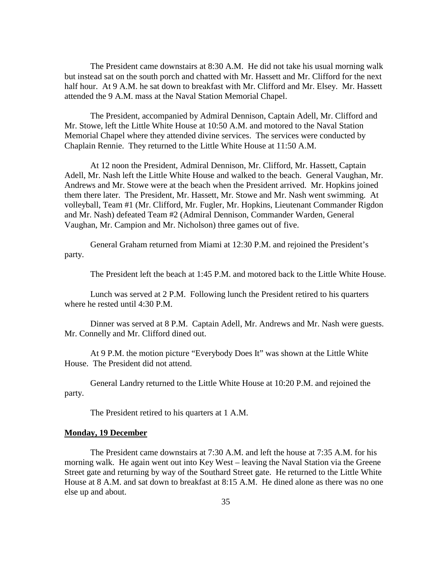The President came downstairs at 8:30 A.M. He did not take his usual morning walk but instead sat on the south porch and chatted with Mr. Hassett and Mr. Clifford for the next half hour. At 9 A.M. he sat down to breakfast with Mr. Clifford and Mr. Elsey. Mr. Hassett attended the 9 A.M. mass at the Naval Station Memorial Chapel.

 The President, accompanied by Admiral Dennison, Captain Adell, Mr. Clifford and Mr. Stowe, left the Little White House at 10:50 A.M. and motored to the Naval Station Memorial Chapel where they attended divine services. The services were conducted by Chaplain Rennie. They returned to the Little White House at 11:50 A.M.

 At 12 noon the President, Admiral Dennison, Mr. Clifford, Mr. Hassett, Captain Adell, Mr. Nash left the Little White House and walked to the beach. General Vaughan, Mr. Andrews and Mr. Stowe were at the beach when the President arrived. Mr. Hopkins joined them there later. The President, Mr. Hassett, Mr. Stowe and Mr. Nash went swimming. At volleyball, Team #1 (Mr. Clifford, Mr. Fugler, Mr. Hopkins, Lieutenant Commander Rigdon and Mr. Nash) defeated Team #2 (Admiral Dennison, Commander Warden, General Vaughan, Mr. Campion and Mr. Nicholson) three games out of five.

 General Graham returned from Miami at 12:30 P.M. and rejoined the President's party.

The President left the beach at 1:45 P.M. and motored back to the Little White House.

 Lunch was served at 2 P.M. Following lunch the President retired to his quarters where he rested until 4:30 P.M.

 Dinner was served at 8 P.M. Captain Adell, Mr. Andrews and Mr. Nash were guests. Mr. Connelly and Mr. Clifford dined out.

 At 9 P.M. the motion picture "Everybody Does It" was shown at the Little White House. The President did not attend.

 General Landry returned to the Little White House at 10:20 P.M. and rejoined the party.

The President retired to his quarters at 1 A.M.

#### **Monday, 19 December**

 The President came downstairs at 7:30 A.M. and left the house at 7:35 A.M. for his morning walk. He again went out into Key West – leaving the Naval Station via the Greene Street gate and returning by way of the Southard Street gate. He returned to the Little White House at 8 A.M. and sat down to breakfast at 8:15 A.M. He dined alone as there was no one else up and about.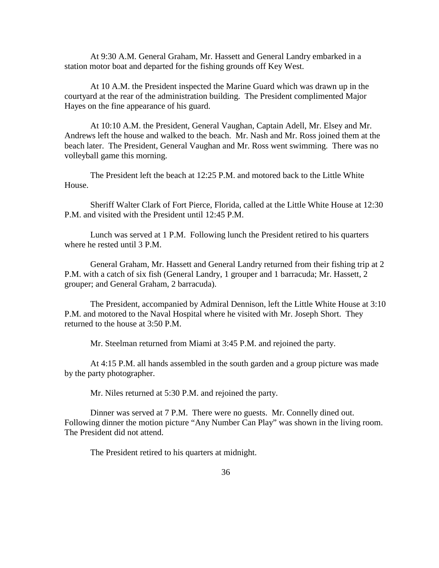At 9:30 A.M. General Graham, Mr. Hassett and General Landry embarked in a station motor boat and departed for the fishing grounds off Key West.

 At 10 A.M. the President inspected the Marine Guard which was drawn up in the courtyard at the rear of the administration building. The President complimented Major Hayes on the fine appearance of his guard.

 At 10:10 A.M. the President, General Vaughan, Captain Adell, Mr. Elsey and Mr. Andrews left the house and walked to the beach. Mr. Nash and Mr. Ross joined them at the beach later. The President, General Vaughan and Mr. Ross went swimming. There was no volleyball game this morning.

 The President left the beach at 12:25 P.M. and motored back to the Little White House.

 Sheriff Walter Clark of Fort Pierce, Florida, called at the Little White House at 12:30 P.M. and visited with the President until 12:45 P.M.

 Lunch was served at 1 P.M. Following lunch the President retired to his quarters where he rested until 3 P.M.

 General Graham, Mr. Hassett and General Landry returned from their fishing trip at 2 P.M. with a catch of six fish (General Landry, 1 grouper and 1 barracuda; Mr. Hassett, 2 grouper; and General Graham, 2 barracuda).

 The President, accompanied by Admiral Dennison, left the Little White House at 3:10 P.M. and motored to the Naval Hospital where he visited with Mr. Joseph Short. They returned to the house at 3:50 P.M.

Mr. Steelman returned from Miami at 3:45 P.M. and rejoined the party.

 At 4:15 P.M. all hands assembled in the south garden and a group picture was made by the party photographer.

Mr. Niles returned at 5:30 P.M. and rejoined the party.

 Dinner was served at 7 P.M. There were no guests. Mr. Connelly dined out. Following dinner the motion picture "Any Number Can Play" was shown in the living room. The President did not attend.

The President retired to his quarters at midnight.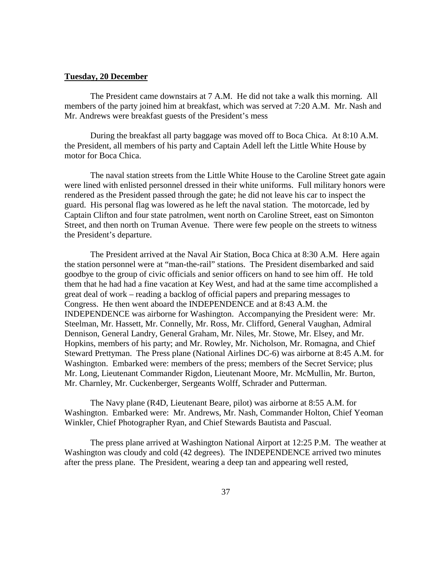#### **Tuesday, 20 December**

 The President came downstairs at 7 A.M. He did not take a walk this morning. All members of the party joined him at breakfast, which was served at 7:20 A.M. Mr. Nash and Mr. Andrews were breakfast guests of the President's mess

 During the breakfast all party baggage was moved off to Boca Chica. At 8:10 A.M. the President, all members of his party and Captain Adell left the Little White House by motor for Boca Chica.

 The naval station streets from the Little White House to the Caroline Street gate again were lined with enlisted personnel dressed in their white uniforms. Full military honors were rendered as the President passed through the gate; he did not leave his car to inspect the guard. His personal flag was lowered as he left the naval station. The motorcade, led by Captain Clifton and four state patrolmen, went north on Caroline Street, east on Simonton Street, and then north on Truman Avenue. There were few people on the streets to witness the President's departure.

 The President arrived at the Naval Air Station, Boca Chica at 8:30 A.M. Here again the station personnel were at "man-the-rail" stations. The President disembarked and said goodbye to the group of civic officials and senior officers on hand to see him off. He told them that he had had a fine vacation at Key West, and had at the same time accomplished a great deal of work – reading a backlog of official papers and preparing messages to Congress. He then went aboard the INDEPENDENCE and at 8:43 A.M. the INDEPENDENCE was airborne for Washington. Accompanying the President were: Mr. Steelman, Mr. Hassett, Mr. Connelly, Mr. Ross, Mr. Clifford, General Vaughan, Admiral Dennison, General Landry, General Graham, Mr. Niles, Mr. Stowe, Mr. Elsey, and Mr. Hopkins, members of his party; and Mr. Rowley, Mr. Nicholson, Mr. Romagna, and Chief Steward Prettyman. The Press plane (National Airlines DC-6) was airborne at 8:45 A.M. for Washington. Embarked were: members of the press; members of the Secret Service; plus Mr. Long, Lieutenant Commander Rigdon, Lieutenant Moore, Mr. McMullin, Mr. Burton, Mr. Charnley, Mr. Cuckenberger, Sergeants Wolff, Schrader and Putterman.

 The Navy plane (R4D, Lieutenant Beare, pilot) was airborne at 8:55 A.M. for Washington. Embarked were: Mr. Andrews, Mr. Nash, Commander Holton, Chief Yeoman Winkler, Chief Photographer Ryan, and Chief Stewards Bautista and Pascual.

 The press plane arrived at Washington National Airport at 12:25 P.M. The weather at Washington was cloudy and cold (42 degrees). The INDEPENDENCE arrived two minutes after the press plane. The President, wearing a deep tan and appearing well rested,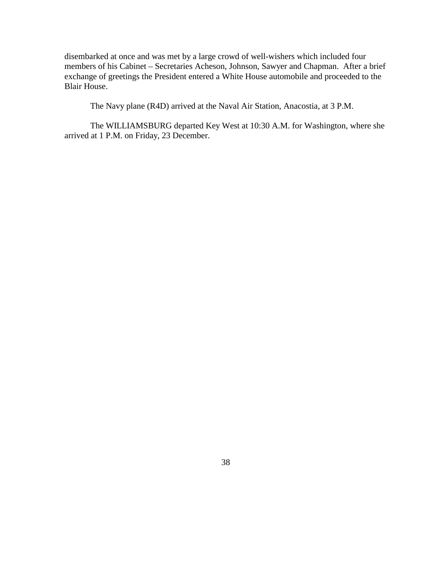disembarked at once and was met by a large crowd of well-wishers which included four members of his Cabinet – Secretaries Acheson, Johnson, Sawyer and Chapman. After a brief exchange of greetings the President entered a White House automobile and proceeded to the Blair House.

The Navy plane (R4D) arrived at the Naval Air Station, Anacostia, at 3 P.M.

 The WILLIAMSBURG departed Key West at 10:30 A.M. for Washington, where she arrived at 1 P.M. on Friday, 23 December.